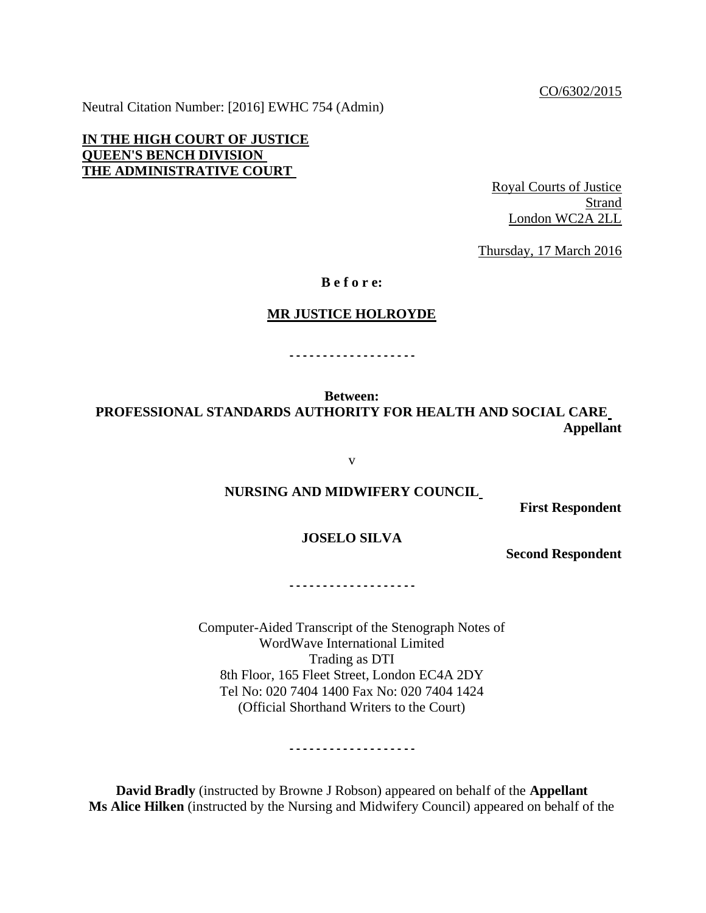CO/6302/2015

Neutral Citation Number: [2016] EWHC 754 (Admin)

**IN THE HIGH COURT OF JUSTICE QUEEN'S BENCH DIVISION THE ADMINISTRATIVE COURT** 

Royal Courts of Justice Strand London WC2A 2LL

Thursday, 17 March 2016

**B e f o r e:**

#### **MR JUSTICE HOLROYDE**

**- - - - - - - - - - - - - - - - - - -**

**Between: PROFESSIONAL STANDARDS AUTHORITY FOR HEALTH AND SOCIAL CARE Appellant**

v

## **NURSING AND MIDWIFERY COUNCIL**

**First Respondent**

## **JOSELO SILVA**

**Second Respondent**

**- - - - - - - - - - - - - - - - - - -**

Computer-Aided Transcript of the Stenograph Notes of WordWave International Limited Trading as DTI 8th Floor, 165 Fleet Street, London EC4A 2DY Tel No: 020 7404 1400 Fax No: 020 7404 1424 (Official Shorthand Writers to the Court)

**- - - - - - - - - - - - - - - - - - -**

**David Bradly** (instructed by Browne J Robson) appeared on behalf of the **Appellant Ms Alice Hilken** (instructed by the Nursing and Midwifery Council) appeared on behalf of the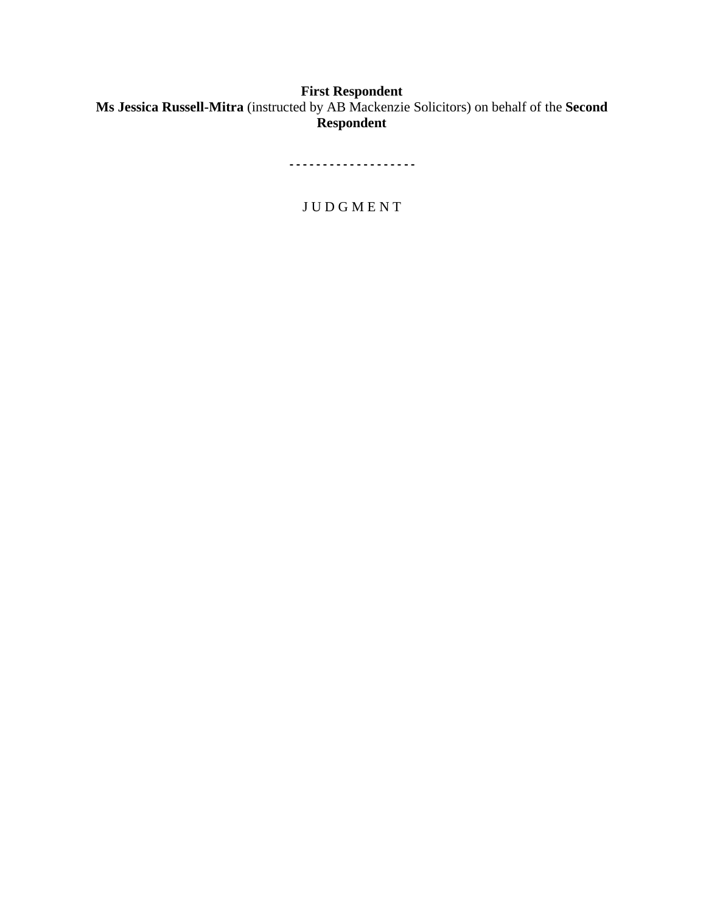# **First Respondent Ms Jessica Russell-Mitra** (instructed by AB Mackenzie Solicitors) on behalf of the **Second Respondent**

**- - - - - - - - - - - - - - - - - - -**

J U D G M E N T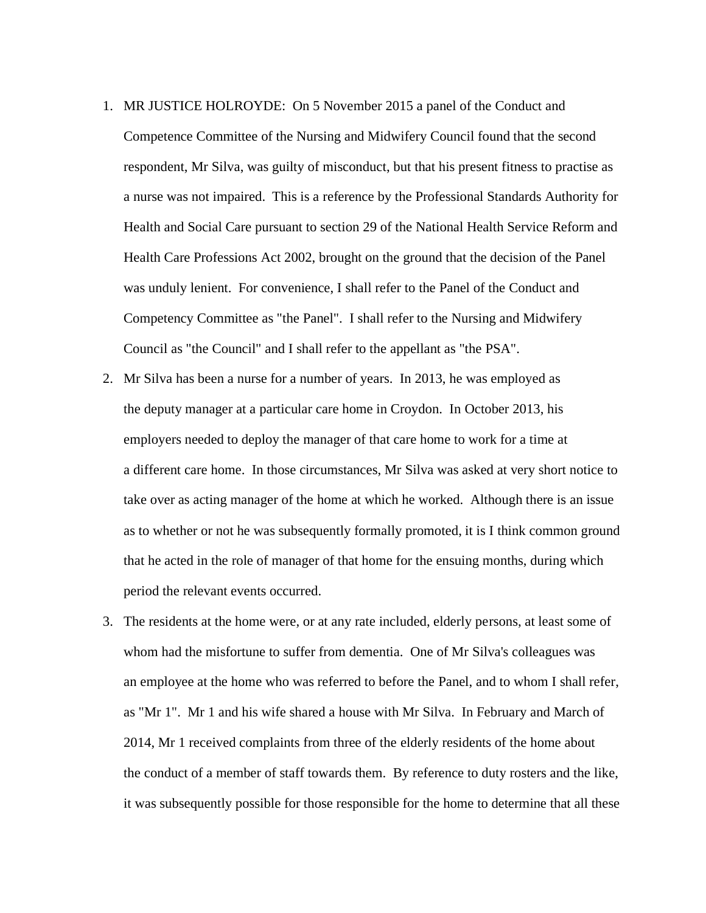- 1. MR JUSTICE HOLROYDE: On 5 November 2015 a panel of the Conduct and Competence Committee of the Nursing and Midwifery Council found that the second respondent, Mr Silva, was guilty of misconduct, but that his present fitness to practise as a nurse was not impaired. This is a reference by the Professional Standards Authority for Health and Social Care pursuant to section 29 of the National Health Service Reform and Health Care Professions Act 2002, brought on the ground that the decision of the Panel was unduly lenient. For convenience, I shall refer to the Panel of the Conduct and Competency Committee as "the Panel". I shall refer to the Nursing and Midwifery Council as "the Council" and I shall refer to the appellant as "the PSA".
- 2. Mr Silva has been a nurse for a number of years. In 2013, he was employed as the deputy manager at a particular care home in Croydon. In October 2013, his employers needed to deploy the manager of that care home to work for a time at a different care home. In those circumstances, Mr Silva was asked at very short notice to take over as acting manager of the home at which he worked. Although there is an issue as to whether or not he was subsequently formally promoted, it is I think common ground that he acted in the role of manager of that home for the ensuing months, during which period the relevant events occurred.
- 3. The residents at the home were, or at any rate included, elderly persons, at least some of whom had the misfortune to suffer from dementia. One of Mr Silva's colleagues was an employee at the home who was referred to before the Panel, and to whom I shall refer, as "Mr 1". Mr 1 and his wife shared a house with Mr Silva. In February and March of 2014, Mr 1 received complaints from three of the elderly residents of the home about the conduct of a member of staff towards them. By reference to duty rosters and the like, it was subsequently possible for those responsible for the home to determine that all these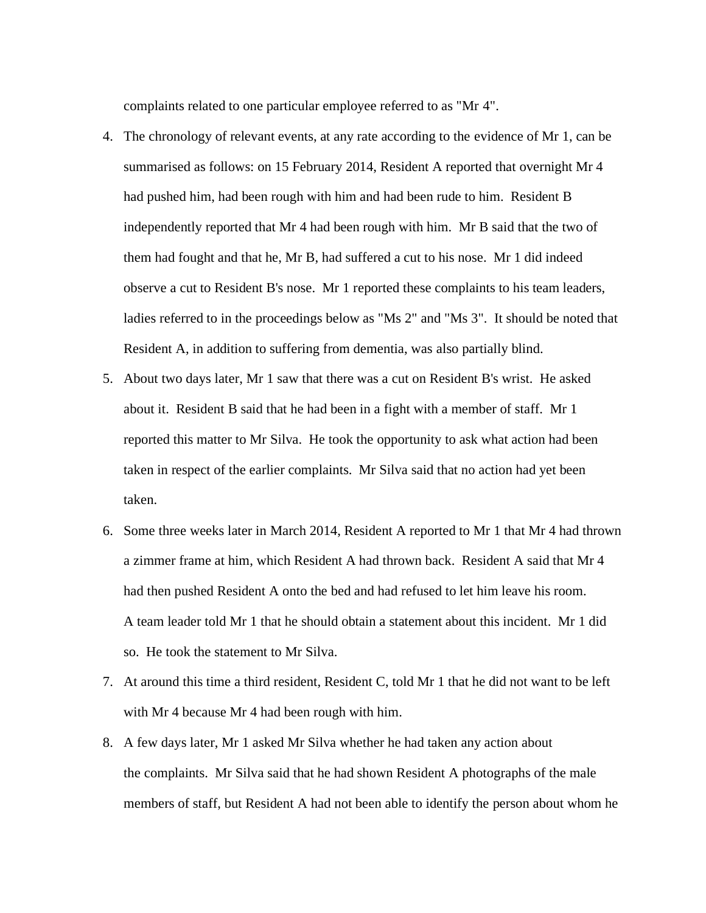complaints related to one particular employee referred to as "Mr 4".

- 4. The chronology of relevant events, at any rate according to the evidence of Mr 1, can be summarised as follows: on 15 February 2014, Resident A reported that overnight Mr 4 had pushed him, had been rough with him and had been rude to him. Resident B independently reported that Mr 4 had been rough with him. Mr B said that the two of them had fought and that he, Mr B, had suffered a cut to his nose. Mr 1 did indeed observe a cut to Resident B's nose. Mr 1 reported these complaints to his team leaders, ladies referred to in the proceedings below as "Ms 2" and "Ms 3". It should be noted that Resident A, in addition to suffering from dementia, was also partially blind.
- 5. About two days later, Mr 1 saw that there was a cut on Resident B's wrist. He asked about it. Resident B said that he had been in a fight with a member of staff. Mr 1 reported this matter to Mr Silva. He took the opportunity to ask what action had been taken in respect of the earlier complaints. Mr Silva said that no action had yet been taken.
- 6. Some three weeks later in March 2014, Resident A reported to Mr 1 that Mr 4 had thrown a zimmer frame at him, which Resident A had thrown back. Resident A said that Mr 4 had then pushed Resident A onto the bed and had refused to let him leave his room. A team leader told Mr 1 that he should obtain a statement about this incident. Mr 1 did so. He took the statement to Mr Silva.
- 7. At around this time a third resident, Resident C, told Mr 1 that he did not want to be left with Mr 4 because Mr 4 had been rough with him.
- 8. A few days later, Mr 1 asked Mr Silva whether he had taken any action about the complaints. Mr Silva said that he had shown Resident A photographs of the male members of staff, but Resident A had not been able to identify the person about whom he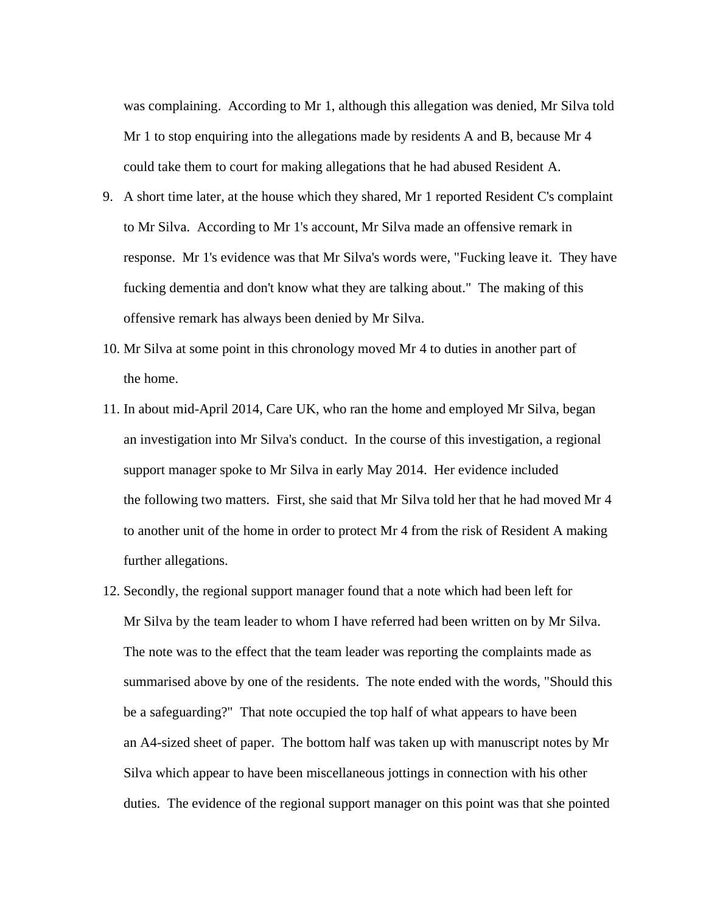was complaining. According to Mr 1, although this allegation was denied, Mr Silva told Mr 1 to stop enquiring into the allegations made by residents A and B, because Mr 4 could take them to court for making allegations that he had abused Resident A.

- 9. A short time later, at the house which they shared, Mr 1 reported Resident C's complaint to Mr Silva. According to Mr 1's account, Mr Silva made an offensive remark in response. Mr 1's evidence was that Mr Silva's words were, "Fucking leave it. They have fucking dementia and don't know what they are talking about." The making of this offensive remark has always been denied by Mr Silva.
- 10. Mr Silva at some point in this chronology moved Mr 4 to duties in another part of the home.
- 11. In about mid-April 2014, Care UK, who ran the home and employed Mr Silva, began an investigation into Mr Silva's conduct. In the course of this investigation, a regional support manager spoke to Mr Silva in early May 2014. Her evidence included the following two matters. First, she said that Mr Silva told her that he had moved Mr 4 to another unit of the home in order to protect Mr 4 from the risk of Resident A making further allegations.
- 12. Secondly, the regional support manager found that a note which had been left for Mr Silva by the team leader to whom I have referred had been written on by Mr Silva. The note was to the effect that the team leader was reporting the complaints made as summarised above by one of the residents. The note ended with the words, "Should this be a safeguarding?" That note occupied the top half of what appears to have been an A4-sized sheet of paper. The bottom half was taken up with manuscript notes by Mr Silva which appear to have been miscellaneous jottings in connection with his other duties. The evidence of the regional support manager on this point was that she pointed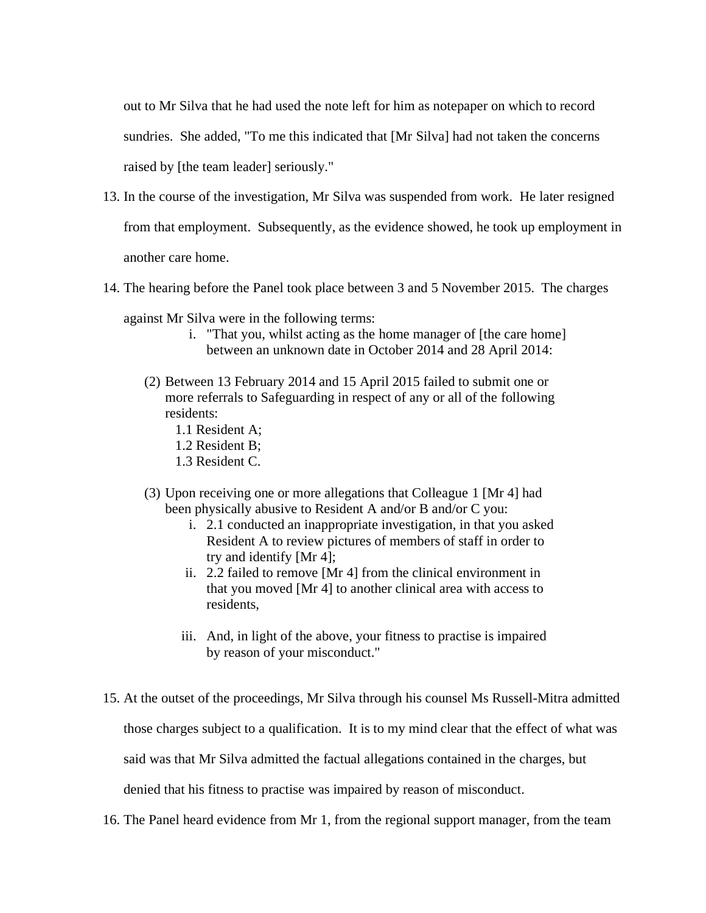out to Mr Silva that he had used the note left for him as notepaper on which to record sundries. She added, "To me this indicated that [Mr Silva] had not taken the concerns raised by [the team leader] seriously."

- 13. In the course of the investigation, Mr Silva was suspended from work. He later resigned from that employment. Subsequently, as the evidence showed, he took up employment in another care home.
- 14. The hearing before the Panel took place between 3 and 5 November 2015. The charges
	- against Mr Silva were in the following terms:
		- i. "That you, whilst acting as the home manager of [the care home] between an unknown date in October 2014 and 28 April 2014:
		- (2) Between 13 February 2014 and 15 April 2015 failed to submit one or more referrals to Safeguarding in respect of any or all of the following residents:
			- 1.1 Resident A;
			- 1.2 Resident B;
			- 1.3 Resident C.
		- (3) Upon receiving one or more allegations that Colleague 1 [Mr 4] had been physically abusive to Resident A and/or B and/or C you:
			- i. 2.1 conducted an inappropriate investigation, in that you asked Resident A to review pictures of members of staff in order to try and identify [Mr 4];
			- ii. 2.2 failed to remove [Mr 4] from the clinical environment in that you moved [Mr 4] to another clinical area with access to residents,
			- iii. And, in light of the above, your fitness to practise is impaired by reason of your misconduct."
- 15. At the outset of the proceedings, Mr Silva through his counsel Ms Russell-Mitra admitted those charges subject to a qualification. It is to my mind clear that the effect of what was said was that Mr Silva admitted the factual allegations contained in the charges, but denied that his fitness to practise was impaired by reason of misconduct.
- 16. The Panel heard evidence from Mr 1, from the regional support manager, from the team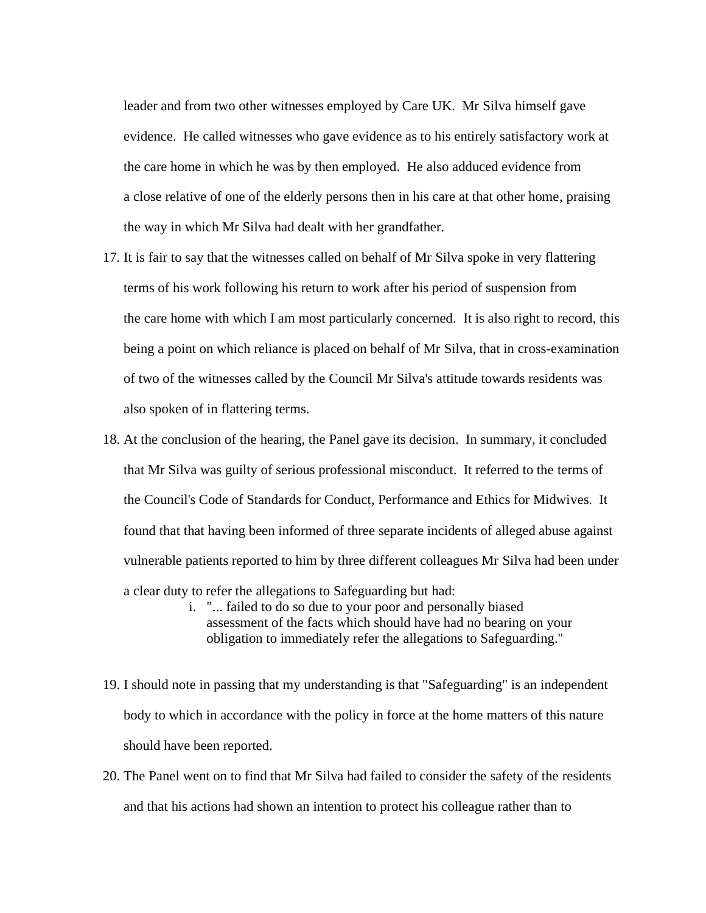leader and from two other witnesses employed by Care UK. Mr Silva himself gave evidence. He called witnesses who gave evidence as to his entirely satisfactory work at the care home in which he was by then employed. He also adduced evidence from a close relative of one of the elderly persons then in his care at that other home, praising the way in which Mr Silva had dealt with her grandfather.

- 17. It is fair to say that the witnesses called on behalf of Mr Silva spoke in very flattering terms of his work following his return to work after his period of suspension from the care home with which I am most particularly concerned. It is also right to record, this being a point on which reliance is placed on behalf of Mr Silva, that in cross-examination of two of the witnesses called by the Council Mr Silva's attitude towards residents was also spoken of in flattering terms.
- 18. At the conclusion of the hearing, the Panel gave its decision. In summary, it concluded that Mr Silva was guilty of serious professional misconduct. It referred to the terms of the Council's Code of Standards for Conduct, Performance and Ethics for Midwives. It found that that having been informed of three separate incidents of alleged abuse against vulnerable patients reported to him by three different colleagues Mr Silva had been under a clear duty to refer the allegations to Safeguarding but had:
	- i. "... failed to do so due to your poor and personally biased assessment of the facts which should have had no bearing on your obligation to immediately refer the allegations to Safeguarding."
- 19. I should note in passing that my understanding is that "Safeguarding" is an independent body to which in accordance with the policy in force at the home matters of this nature should have been reported.
- 20. The Panel went on to find that Mr Silva had failed to consider the safety of the residents and that his actions had shown an intention to protect his colleague rather than to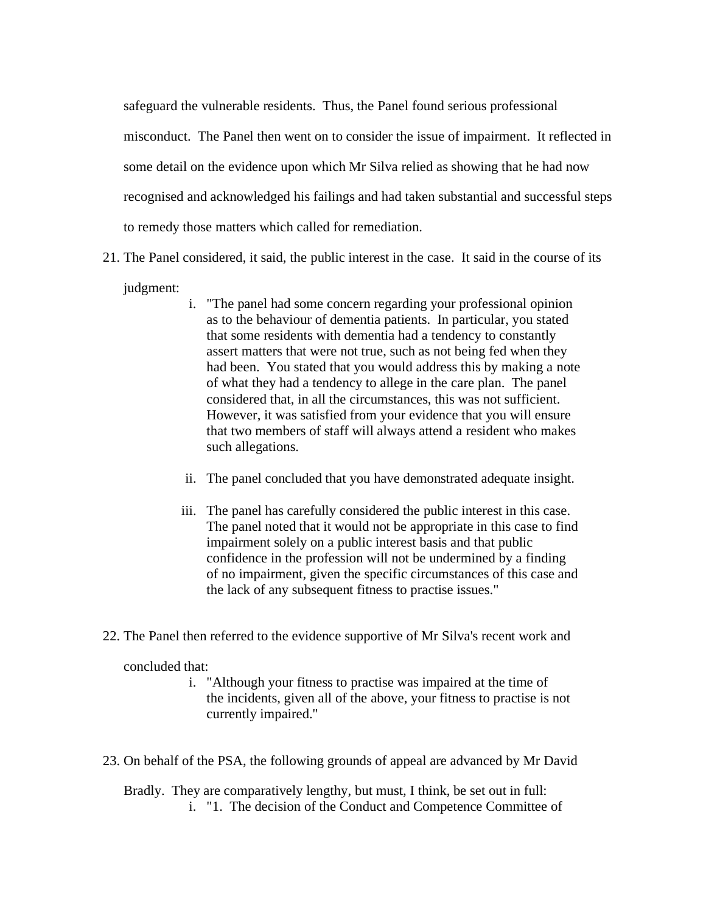safeguard the vulnerable residents. Thus, the Panel found serious professional misconduct. The Panel then went on to consider the issue of impairment. It reflected in some detail on the evidence upon which Mr Silva relied as showing that he had now recognised and acknowledged his failings and had taken substantial and successful steps to remedy those matters which called for remediation.

21. The Panel considered, it said, the public interest in the case. It said in the course of its

judgment:

- i. "The panel had some concern regarding your professional opinion as to the behaviour of dementia patients. In particular, you stated that some residents with dementia had a tendency to constantly assert matters that were not true, such as not being fed when they had been. You stated that you would address this by making a note of what they had a tendency to allege in the care plan. The panel considered that, in all the circumstances, this was not sufficient. However, it was satisfied from your evidence that you will ensure that two members of staff will always attend a resident who makes such allegations.
- ii. The panel concluded that you have demonstrated adequate insight.
- iii. The panel has carefully considered the public interest in this case. The panel noted that it would not be appropriate in this case to find impairment solely on a public interest basis and that public confidence in the profession will not be undermined by a finding of no impairment, given the specific circumstances of this case and the lack of any subsequent fitness to practise issues."
- 22. The Panel then referred to the evidence supportive of Mr Silva's recent work and

concluded that:

- i. "Although your fitness to practise was impaired at the time of the incidents, given all of the above, your fitness to practise is not currently impaired."
- 23. On behalf of the PSA, the following grounds of appeal are advanced by Mr David

Bradly. They are comparatively lengthy, but must, I think, be set out in full: i. "1. The decision of the Conduct and Competence Committee of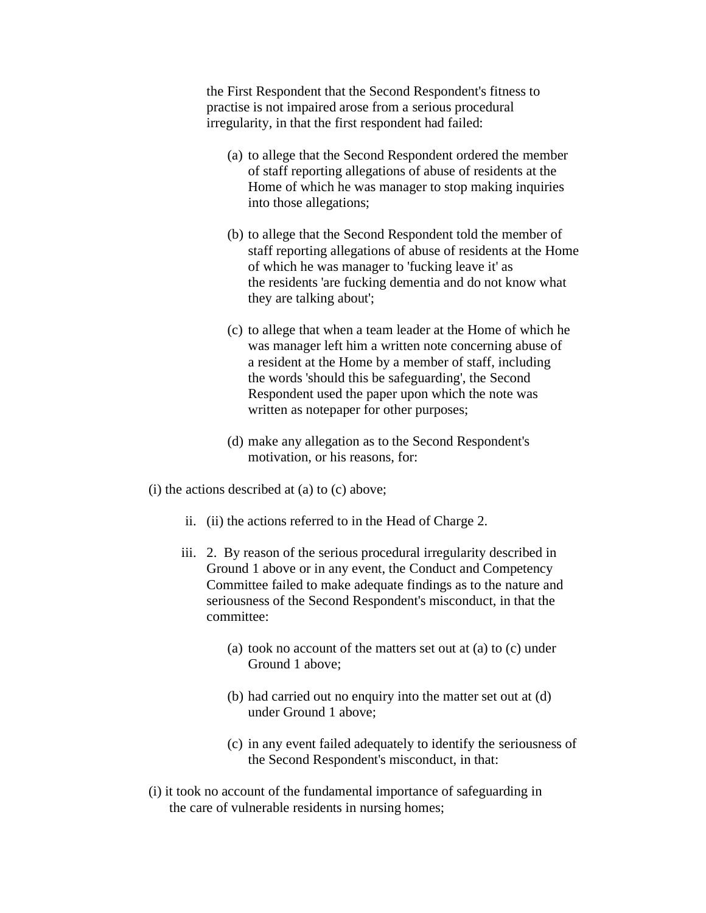the First Respondent that the Second Respondent's fitness to practise is not impaired arose from a serious procedural irregularity, in that the first respondent had failed:

- (a) to allege that the Second Respondent ordered the member of staff reporting allegations of abuse of residents at the Home of which he was manager to stop making inquiries into those allegations;
- (b) to allege that the Second Respondent told the member of staff reporting allegations of abuse of residents at the Home of which he was manager to 'fucking leave it' as the residents 'are fucking dementia and do not know what they are talking about';
- (c) to allege that when a team leader at the Home of which he was manager left him a written note concerning abuse of a resident at the Home by a member of staff, including the words 'should this be safeguarding', the Second Respondent used the paper upon which the note was written as notepaper for other purposes;
- (d) make any allegation as to the Second Respondent's motivation, or his reasons, for:
- (i) the actions described at (a) to (c) above;
	- ii. (ii) the actions referred to in the Head of Charge 2.
	- iii. 2. By reason of the serious procedural irregularity described in Ground 1 above or in any event, the Conduct and Competency Committee failed to make adequate findings as to the nature and seriousness of the Second Respondent's misconduct, in that the committee:
		- (a) took no account of the matters set out at (a) to (c) under Ground 1 above;
		- (b) had carried out no enquiry into the matter set out at (d) under Ground 1 above;
		- (c) in any event failed adequately to identify the seriousness of the Second Respondent's misconduct, in that:
- (i) it took no account of the fundamental importance of safeguarding in the care of vulnerable residents in nursing homes;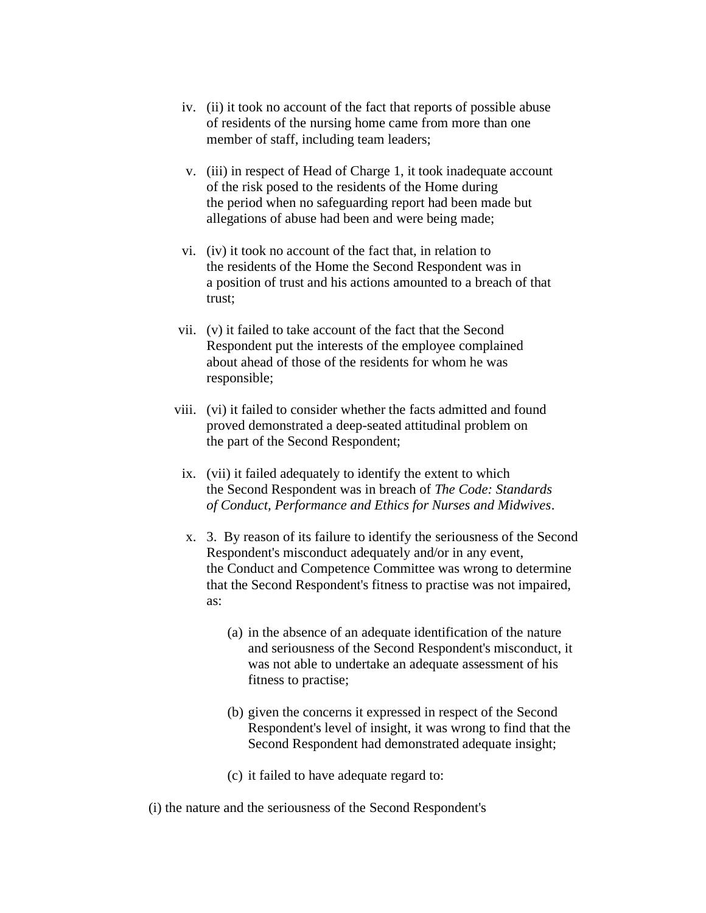- iv. (ii) it took no account of the fact that reports of possible abuse of residents of the nursing home came from more than one member of staff, including team leaders;
- v. (iii) in respect of Head of Charge 1, it took inadequate account of the risk posed to the residents of the Home during the period when no safeguarding report had been made but allegations of abuse had been and were being made;
- vi. (iv) it took no account of the fact that, in relation to the residents of the Home the Second Respondent was in a position of trust and his actions amounted to a breach of that trust;
- vii. (v) it failed to take account of the fact that the Second Respondent put the interests of the employee complained about ahead of those of the residents for whom he was responsible;
- viii. (vi) it failed to consider whether the facts admitted and found proved demonstrated a deep-seated attitudinal problem on the part of the Second Respondent;
- ix. (vii) it failed adequately to identify the extent to which the Second Respondent was in breach of *The Code: Standards of Conduct, Performance and Ethics for Nurses and Midwives*.
- x. 3. By reason of its failure to identify the seriousness of the Second Respondent's misconduct adequately and/or in any event, the Conduct and Competence Committee was wrong to determine that the Second Respondent's fitness to practise was not impaired, as:
	- (a) in the absence of an adequate identification of the nature and seriousness of the Second Respondent's misconduct, it was not able to undertake an adequate assessment of his fitness to practise;
	- (b) given the concerns it expressed in respect of the Second Respondent's level of insight, it was wrong to find that the Second Respondent had demonstrated adequate insight;
	- (c) it failed to have adequate regard to:
- (i) the nature and the seriousness of the Second Respondent's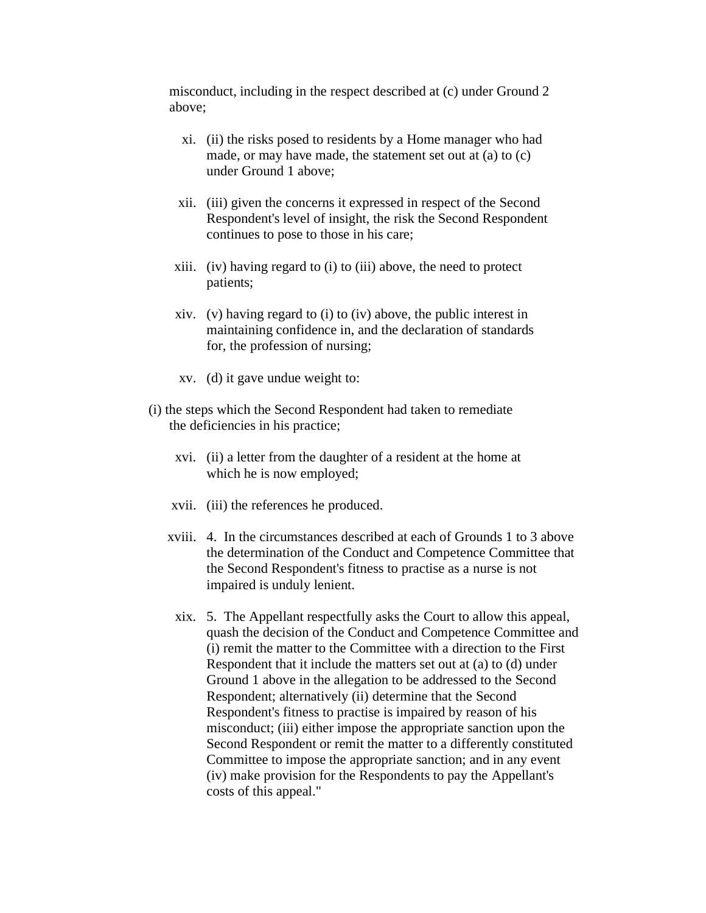misconduct, including in the respect described at (c) under Ground 2 above;

- xi. (ii) the risks posed to residents by a Home manager who had made, or may have made, the statement set out at (a) to (c) under Ground 1 above;
- xii. (iii) given the concerns it expressed in respect of the Second Respondent's level of insight, the risk the Second Respondent continues to pose to those in his care;
- xiii. (iv) having regard to (i) to (iii) above, the need to protect patients;
- xiv. (v) having regard to (i) to (iv) above, the public interest in maintaining confidence in, and the declaration of standards for, the profession of nursing;
- xv. (d) it gave undue weight to:
- (i) the steps which the Second Respondent had taken to remediate the deficiencies in his practice;
	- xvi. (ii) a letter from the daughter of a resident at the home at which he is now employed;
	- xvii. (iii) the references he produced.
	- xviii. 4. In the circumstances described at each of Grounds 1 to 3 above the determination of the Conduct and Competence Committee that the Second Respondent's fitness to practise as a nurse is not impaired is unduly lenient.
	- xix. 5. The Appellant respectfully asks the Court to allow this appeal, quash the decision of the Conduct and Competence Committee and (i) remit the matter to the Committee with a direction to the First Respondent that it include the matters set out at (a) to (d) under Ground 1 above in the allegation to be addressed to the Second Respondent; alternatively (ii) determine that the Second Respondent's fitness to practise is impaired by reason of his misconduct; (iii) either impose the appropriate sanction upon the Second Respondent or remit the matter to a differently constituted Committee to impose the appropriate sanction; and in any event (iv) make provision for the Respondents to pay the Appellant's costs of this appeal."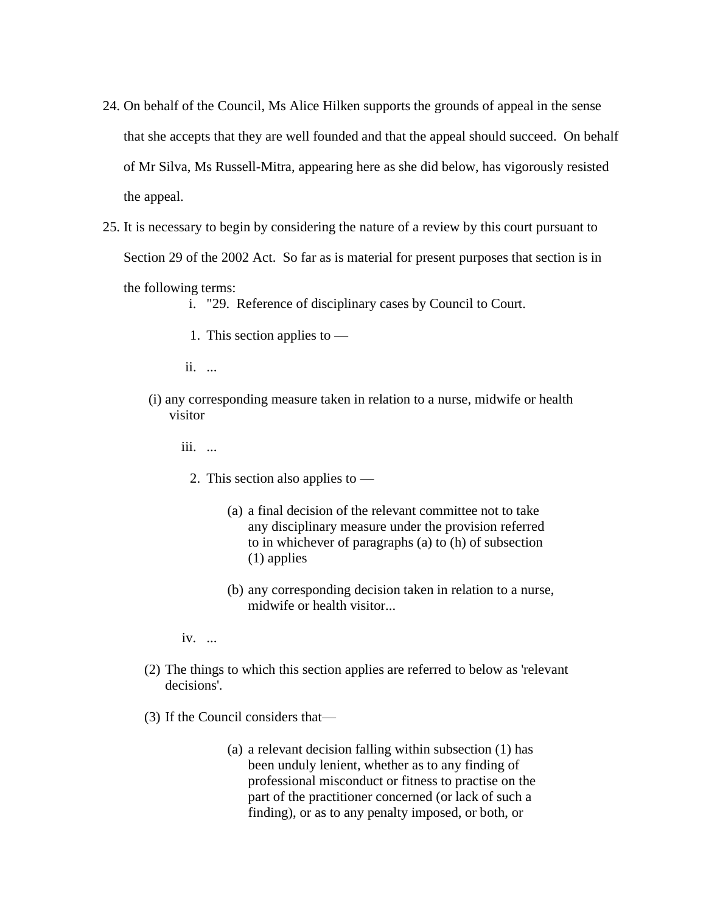- 24. On behalf of the Council, Ms Alice Hilken supports the grounds of appeal in the sense that she accepts that they are well founded and that the appeal should succeed. On behalf of Mr Silva, Ms Russell-Mitra, appearing here as she did below, has vigorously resisted the appeal.
- 25. It is necessary to begin by considering the nature of a review by this court pursuant to Section 29 of the 2002 Act. So far as is material for present purposes that section is in

the following terms:

- i. "29. Reference of disciplinary cases by Council to Court.
- 1. This section applies to —

ii. ...

- (i) any corresponding measure taken in relation to a nurse, midwife or health visitor
	- iii. ...
		- 2. This section also applies to
			- (a) a final decision of the relevant committee not to take any disciplinary measure under the provision referred to in whichever of paragraphs (a) to (h) of subsection (1) applies
			- (b) any corresponding decision taken in relation to a nurse, midwife or health visitor...
	- iv. ...
- (2) The things to which this section applies are referred to below as 'relevant decisions'.
- (3) If the Council considers that—
	- (a) a relevant decision falling within subsection (1) has been unduly lenient, whether as to any finding of professional misconduct or fitness to practise on the part of the practitioner concerned (or lack of such a finding), or as to any penalty imposed, or both, or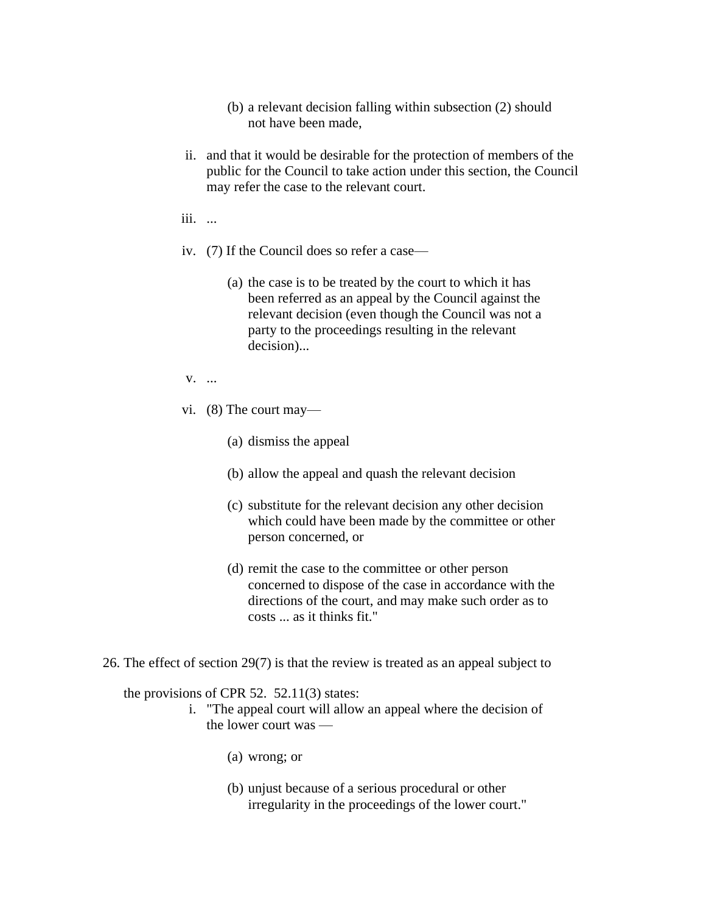- (b) a relevant decision falling within subsection (2) should not have been made,
- ii. and that it would be desirable for the protection of members of the public for the Council to take action under this section, the Council may refer the case to the relevant court.
- iii. ...
- iv. (7) If the Council does so refer a case—
	- (a) the case is to be treated by the court to which it has been referred as an appeal by the Council against the relevant decision (even though the Council was not a party to the proceedings resulting in the relevant decision)...
- v. ...
- vi. (8) The court may—
	- (a) dismiss the appeal
	- (b) allow the appeal and quash the relevant decision
	- (c) substitute for the relevant decision any other decision which could have been made by the committee or other person concerned, or
	- (d) remit the case to the committee or other person concerned to dispose of the case in accordance with the directions of the court, and may make such order as to costs ... as it thinks fit."
- 26. The effect of section 29(7) is that the review is treated as an appeal subject to

the provisions of CPR 52. 52.11(3) states:

- i. "The appeal court will allow an appeal where the decision of the lower court was —
	- (a) wrong; or
	- (b) unjust because of a serious procedural or other irregularity in the proceedings of the lower court."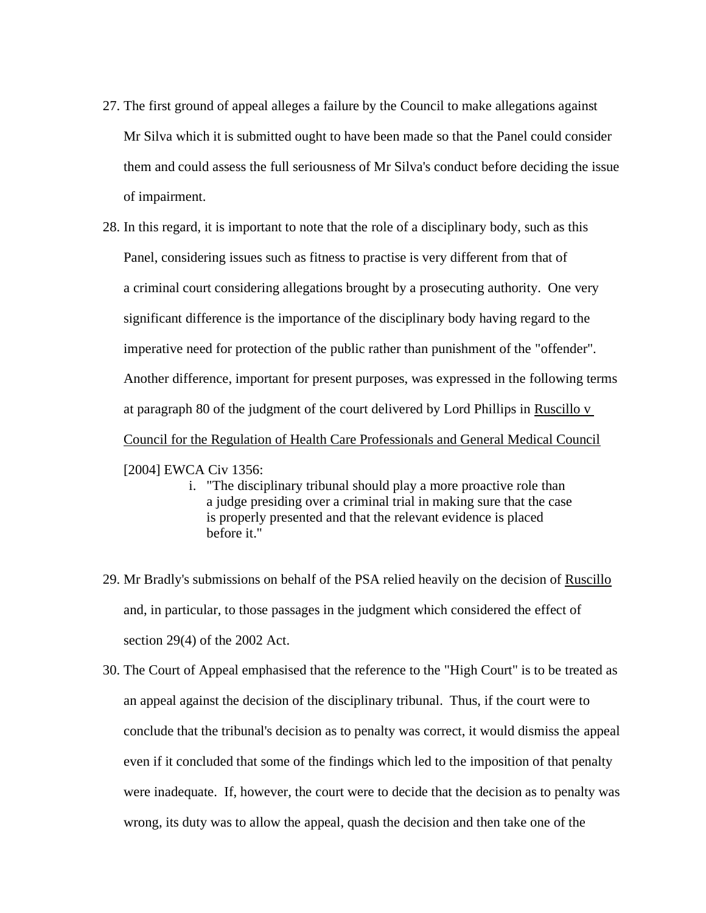- 27. The first ground of appeal alleges a failure by the Council to make allegations against Mr Silva which it is submitted ought to have been made so that the Panel could consider them and could assess the full seriousness of Mr Silva's conduct before deciding the issue of impairment.
- 28. In this regard, it is important to note that the role of a disciplinary body, such as this Panel, considering issues such as fitness to practise is very different from that of a criminal court considering allegations brought by a prosecuting authority. One very significant difference is the importance of the disciplinary body having regard to the imperative need for protection of the public rather than punishment of the "offender". Another difference, important for present purposes, was expressed in the following terms at paragraph 80 of the judgment of the court delivered by Lord Phillips in Ruscillo v Council for the Regulation of Health Care Professionals and General Medical Council

#### [2004] EWCA Civ 1356:

- i. "The disciplinary tribunal should play a more proactive role than a judge presiding over a criminal trial in making sure that the case is properly presented and that the relevant evidence is placed before it."
- 29. Mr Bradly's submissions on behalf of the PSA relied heavily on the decision of Ruscillo and, in particular, to those passages in the judgment which considered the effect of section 29(4) of the 2002 Act.
- 30. The Court of Appeal emphasised that the reference to the "High Court" is to be treated as an appeal against the decision of the disciplinary tribunal. Thus, if the court were to conclude that the tribunal's decision as to penalty was correct, it would dismiss the appeal even if it concluded that some of the findings which led to the imposition of that penalty were inadequate. If, however, the court were to decide that the decision as to penalty was wrong, its duty was to allow the appeal, quash the decision and then take one of the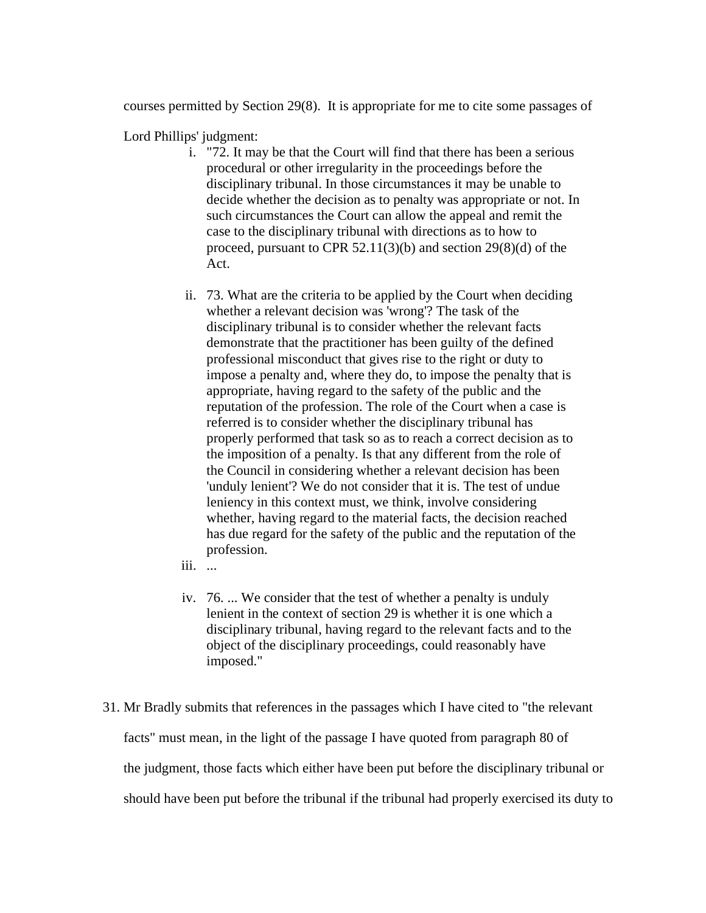courses permitted by Section 29(8). It is appropriate for me to cite some passages of

Lord Phillips' judgment:

- i. "72. It may be that the Court will find that there has been a serious procedural or other irregularity in the proceedings before the disciplinary tribunal. In those circumstances it may be unable to decide whether the decision as to penalty was appropriate or not. In such circumstances the Court can allow the appeal and remit the case to the disciplinary tribunal with directions as to how to proceed, pursuant to CPR 52.11(3)(b) and section 29(8)(d) of the Act.
- ii. 73. What are the criteria to be applied by the Court when deciding whether a relevant decision was 'wrong'? The task of the disciplinary tribunal is to consider whether the relevant facts demonstrate that the practitioner has been guilty of the defined professional misconduct that gives rise to the right or duty to impose a penalty and, where they do, to impose the penalty that is appropriate, having regard to the safety of the public and the reputation of the profession. The role of the Court when a case is referred is to consider whether the disciplinary tribunal has properly performed that task so as to reach a correct decision as to the imposition of a penalty. Is that any different from the role of the Council in considering whether a relevant decision has been 'unduly lenient'? We do not consider that it is. The test of undue leniency in this context must, we think, involve considering whether, having regard to the material facts, the decision reached has due regard for the safety of the public and the reputation of the profession.
- iii. ...
- iv. 76. ... We consider that the test of whether a penalty is unduly lenient in the context of section 29 is whether it is one which a disciplinary tribunal, having regard to the relevant facts and to the object of the disciplinary proceedings, could reasonably have imposed."
- 31. Mr Bradly submits that references in the passages which I have cited to "the relevant facts" must mean, in the light of the passage I have quoted from paragraph 80 of the judgment, those facts which either have been put before the disciplinary tribunal or should have been put before the tribunal if the tribunal had properly exercised its duty to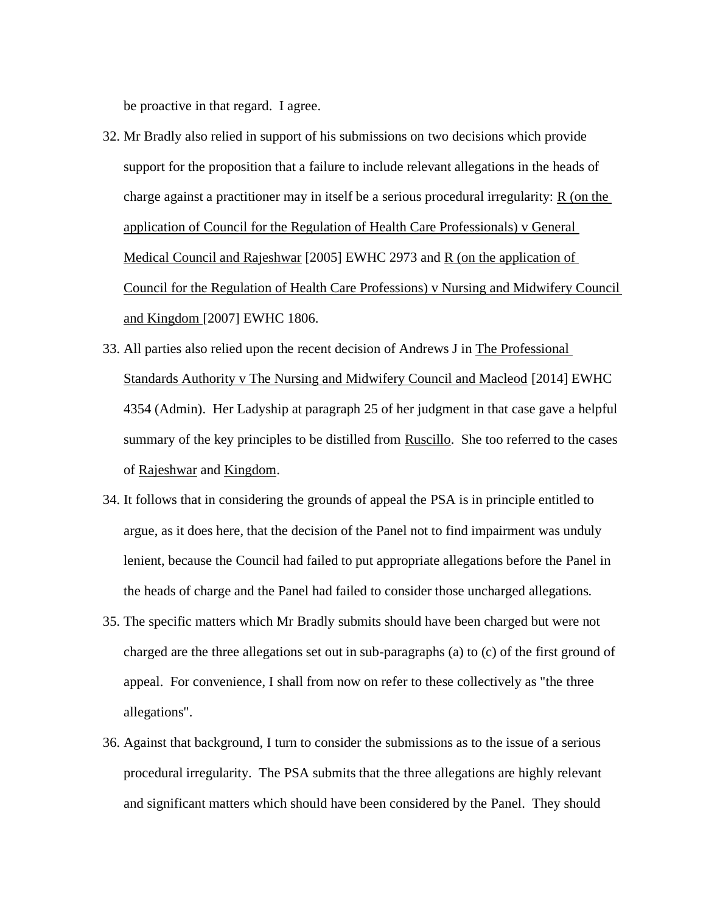be proactive in that regard. I agree.

- 32. Mr Bradly also relied in support of his submissions on two decisions which provide support for the proposition that a failure to include relevant allegations in the heads of charge against a practitioner may in itself be a serious procedural irregularity: R (on the application of Council for the Regulation of Health Care Professionals) v General Medical Council and Rajeshwar [2005] EWHC 2973 and R (on the application of Council for the Regulation of Health Care Professions) v Nursing and Midwifery Council and Kingdom [2007] EWHC 1806.
- 33. All parties also relied upon the recent decision of Andrews J in The Professional Standards Authority v The Nursing and Midwifery Council and Macleod [2014] EWHC 4354 (Admin). Her Ladyship at paragraph 25 of her judgment in that case gave a helpful summary of the key principles to be distilled from Ruscillo. She too referred to the cases of Rajeshwar and Kingdom.
- 34. It follows that in considering the grounds of appeal the PSA is in principle entitled to argue, as it does here, that the decision of the Panel not to find impairment was unduly lenient, because the Council had failed to put appropriate allegations before the Panel in the heads of charge and the Panel had failed to consider those uncharged allegations.
- 35. The specific matters which Mr Bradly submits should have been charged but were not charged are the three allegations set out in sub-paragraphs (a) to (c) of the first ground of appeal. For convenience, I shall from now on refer to these collectively as "the three allegations".
- 36. Against that background, I turn to consider the submissions as to the issue of a serious procedural irregularity. The PSA submits that the three allegations are highly relevant and significant matters which should have been considered by the Panel. They should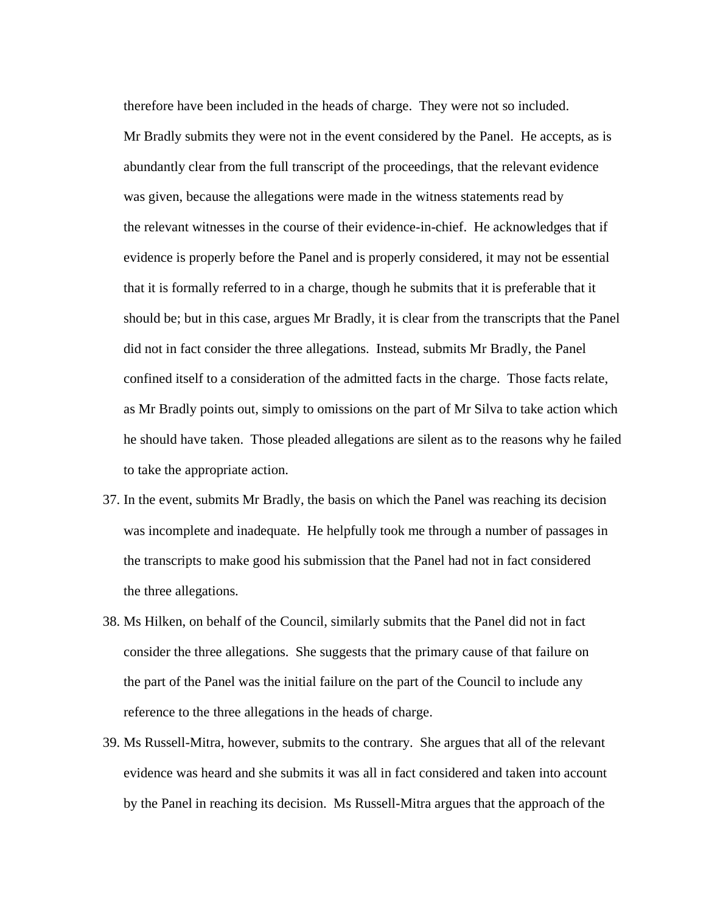therefore have been included in the heads of charge. They were not so included. Mr Bradly submits they were not in the event considered by the Panel. He accepts, as is abundantly clear from the full transcript of the proceedings, that the relevant evidence was given, because the allegations were made in the witness statements read by the relevant witnesses in the course of their evidence-in-chief. He acknowledges that if evidence is properly before the Panel and is properly considered, it may not be essential that it is formally referred to in a charge, though he submits that it is preferable that it should be; but in this case, argues Mr Bradly, it is clear from the transcripts that the Panel did not in fact consider the three allegations. Instead, submits Mr Bradly, the Panel confined itself to a consideration of the admitted facts in the charge. Those facts relate, as Mr Bradly points out, simply to omissions on the part of Mr Silva to take action which he should have taken. Those pleaded allegations are silent as to the reasons why he failed to take the appropriate action.

- 37. In the event, submits Mr Bradly, the basis on which the Panel was reaching its decision was incomplete and inadequate. He helpfully took me through a number of passages in the transcripts to make good his submission that the Panel had not in fact considered the three allegations.
- 38. Ms Hilken, on behalf of the Council, similarly submits that the Panel did not in fact consider the three allegations. She suggests that the primary cause of that failure on the part of the Panel was the initial failure on the part of the Council to include any reference to the three allegations in the heads of charge.
- 39. Ms Russell-Mitra, however, submits to the contrary. She argues that all of the relevant evidence was heard and she submits it was all in fact considered and taken into account by the Panel in reaching its decision. Ms Russell-Mitra argues that the approach of the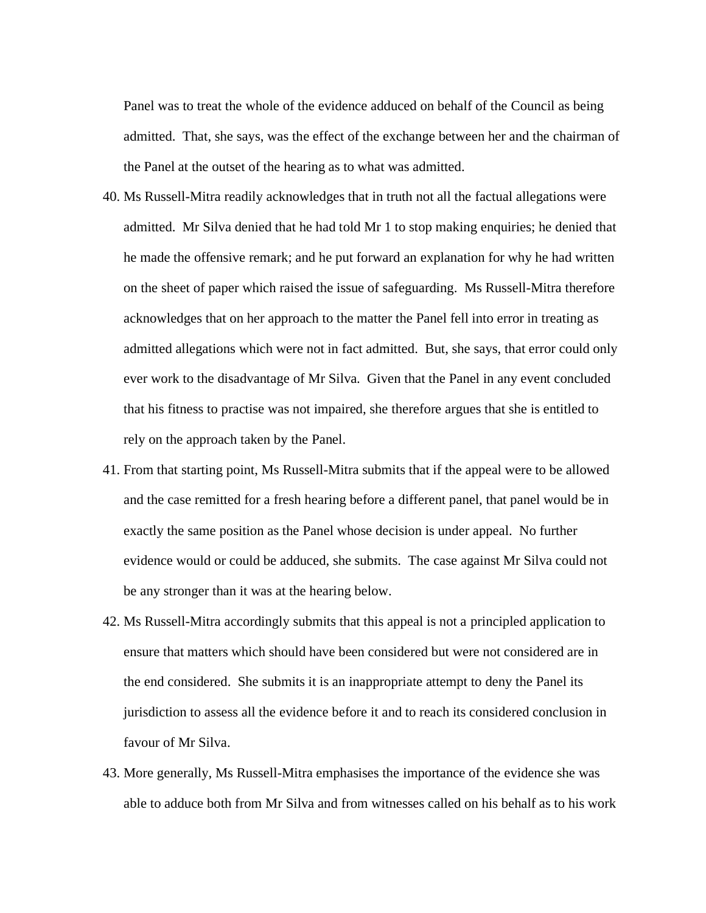Panel was to treat the whole of the evidence adduced on behalf of the Council as being admitted. That, she says, was the effect of the exchange between her and the chairman of the Panel at the outset of the hearing as to what was admitted.

- 40. Ms Russell-Mitra readily acknowledges that in truth not all the factual allegations were admitted. Mr Silva denied that he had told Mr 1 to stop making enquiries; he denied that he made the offensive remark; and he put forward an explanation for why he had written on the sheet of paper which raised the issue of safeguarding. Ms Russell-Mitra therefore acknowledges that on her approach to the matter the Panel fell into error in treating as admitted allegations which were not in fact admitted. But, she says, that error could only ever work to the disadvantage of Mr Silva. Given that the Panel in any event concluded that his fitness to practise was not impaired, she therefore argues that she is entitled to rely on the approach taken by the Panel.
- 41. From that starting point, Ms Russell-Mitra submits that if the appeal were to be allowed and the case remitted for a fresh hearing before a different panel, that panel would be in exactly the same position as the Panel whose decision is under appeal. No further evidence would or could be adduced, she submits. The case against Mr Silva could not be any stronger than it was at the hearing below.
- 42. Ms Russell-Mitra accordingly submits that this appeal is not a principled application to ensure that matters which should have been considered but were not considered are in the end considered. She submits it is an inappropriate attempt to deny the Panel its jurisdiction to assess all the evidence before it and to reach its considered conclusion in favour of Mr Silva.
- 43. More generally, Ms Russell-Mitra emphasises the importance of the evidence she was able to adduce both from Mr Silva and from witnesses called on his behalf as to his work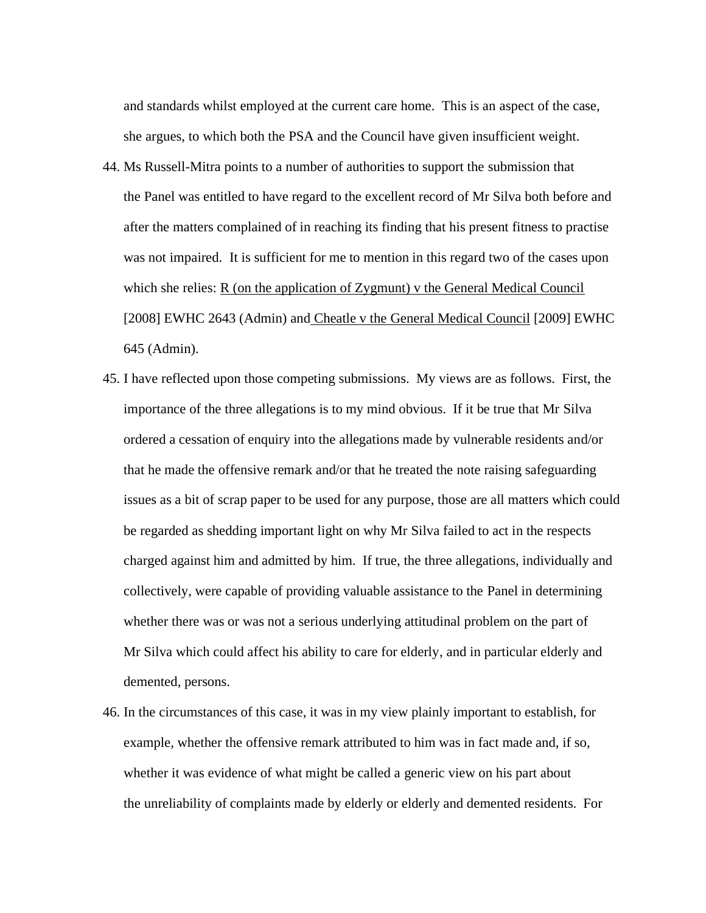and standards whilst employed at the current care home. This is an aspect of the case, she argues, to which both the PSA and the Council have given insufficient weight.

- 44. Ms Russell-Mitra points to a number of authorities to support the submission that the Panel was entitled to have regard to the excellent record of Mr Silva both before and after the matters complained of in reaching its finding that his present fitness to practise was not impaired. It is sufficient for me to mention in this regard two of the cases upon which she relies: R (on the application of Zygmunt) v the General Medical Council [2008] EWHC 2643 (Admin) and Cheatle v the General Medical Council [2009] EWHC 645 (Admin).
- 45. I have reflected upon those competing submissions. My views are as follows. First, the importance of the three allegations is to my mind obvious. If it be true that Mr Silva ordered a cessation of enquiry into the allegations made by vulnerable residents and/or that he made the offensive remark and/or that he treated the note raising safeguarding issues as a bit of scrap paper to be used for any purpose, those are all matters which could be regarded as shedding important light on why Mr Silva failed to act in the respects charged against him and admitted by him. If true, the three allegations, individually and collectively, were capable of providing valuable assistance to the Panel in determining whether there was or was not a serious underlying attitudinal problem on the part of Mr Silva which could affect his ability to care for elderly, and in particular elderly and demented, persons.
- 46. In the circumstances of this case, it was in my view plainly important to establish, for example, whether the offensive remark attributed to him was in fact made and, if so, whether it was evidence of what might be called a generic view on his part about the unreliability of complaints made by elderly or elderly and demented residents. For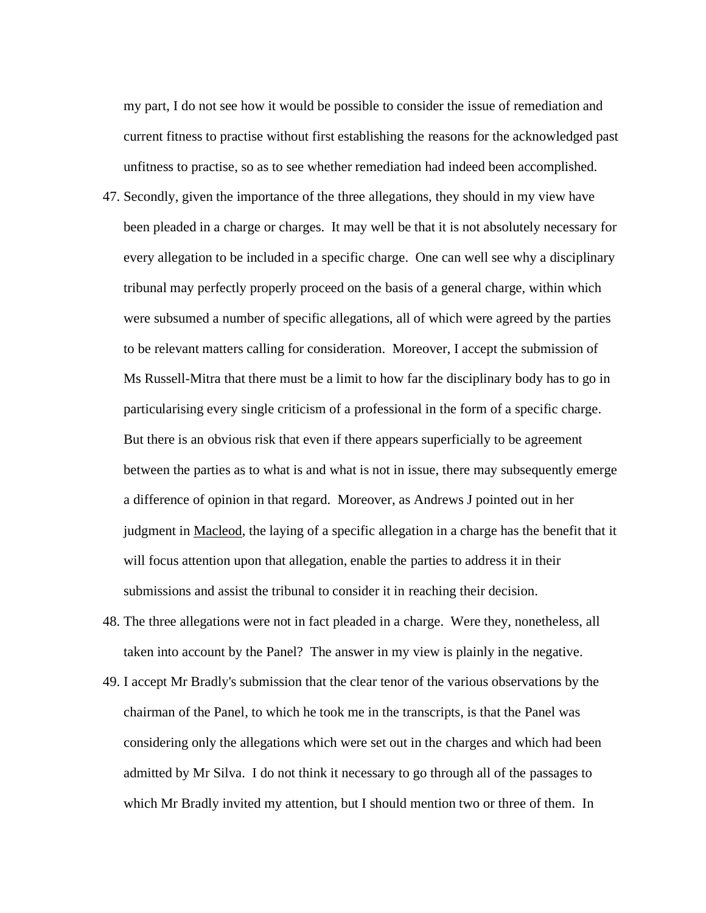my part, I do not see how it would be possible to consider the issue of remediation and current fitness to practise without first establishing the reasons for the acknowledged past unfitness to practise, so as to see whether remediation had indeed been accomplished.

- 47. Secondly, given the importance of the three allegations, they should in my view have been pleaded in a charge or charges. It may well be that it is not absolutely necessary for every allegation to be included in a specific charge. One can well see why a disciplinary tribunal may perfectly properly proceed on the basis of a general charge, within which were subsumed a number of specific allegations, all of which were agreed by the parties to be relevant matters calling for consideration. Moreover, I accept the submission of Ms Russell-Mitra that there must be a limit to how far the disciplinary body has to go in particularising every single criticism of a professional in the form of a specific charge. But there is an obvious risk that even if there appears superficially to be agreement between the parties as to what is and what is not in issue, there may subsequently emerge a difference of opinion in that regard. Moreover, as Andrews J pointed out in her judgment in Macleod, the laying of a specific allegation in a charge has the benefit that it will focus attention upon that allegation, enable the parties to address it in their submissions and assist the tribunal to consider it in reaching their decision.
- 48. The three allegations were not in fact pleaded in a charge. Were they, nonetheless, all taken into account by the Panel? The answer in my view is plainly in the negative.
- 49. I accept Mr Bradly's submission that the clear tenor of the various observations by the chairman of the Panel, to which he took me in the transcripts, is that the Panel was considering only the allegations which were set out in the charges and which had been admitted by Mr Silva. I do not think it necessary to go through all of the passages to which Mr Bradly invited my attention, but I should mention two or three of them. In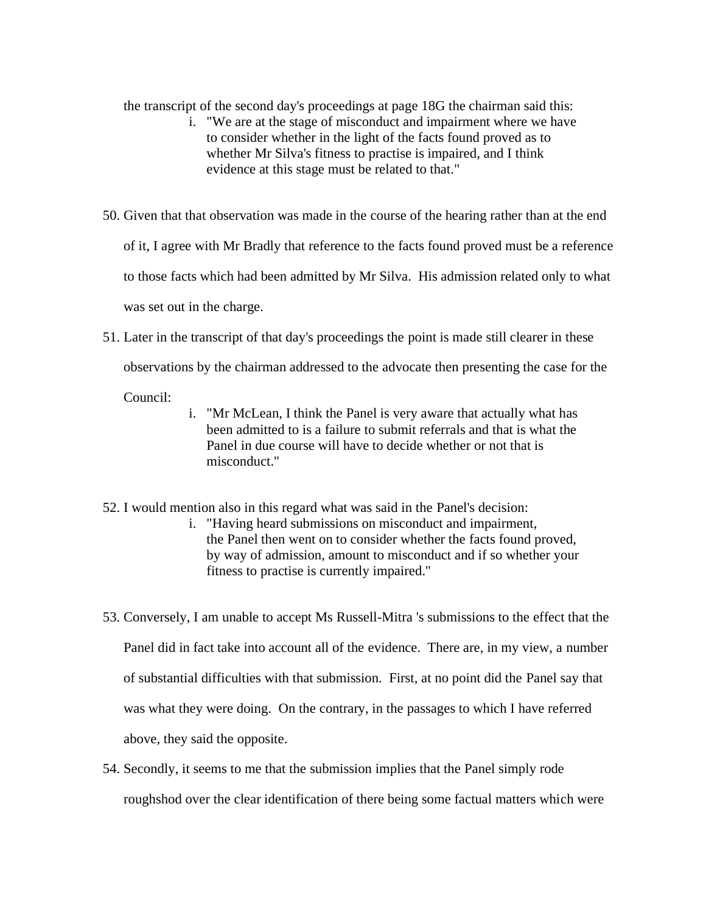the transcript of the second day's proceedings at page 18G the chairman said this:

- i. "We are at the stage of misconduct and impairment where we have to consider whether in the light of the facts found proved as to whether Mr Silva's fitness to practise is impaired, and I think evidence at this stage must be related to that."
- 50. Given that that observation was made in the course of the hearing rather than at the end of it, I agree with Mr Bradly that reference to the facts found proved must be a reference to those facts which had been admitted by Mr Silva. His admission related only to what was set out in the charge.
- 51. Later in the transcript of that day's proceedings the point is made still clearer in these

observations by the chairman addressed to the advocate then presenting the case for the

Council:

- i. "Mr McLean, I think the Panel is very aware that actually what has been admitted to is a failure to submit referrals and that is what the Panel in due course will have to decide whether or not that is misconduct."
- 52. I would mention also in this regard what was said in the Panel's decision:
	- i. "Having heard submissions on misconduct and impairment, the Panel then went on to consider whether the facts found proved, by way of admission, amount to misconduct and if so whether your fitness to practise is currently impaired."
- 53. Conversely, I am unable to accept Ms Russell-Mitra 's submissions to the effect that the Panel did in fact take into account all of the evidence. There are, in my view, a number of substantial difficulties with that submission. First, at no point did the Panel say that was what they were doing. On the contrary, in the passages to which I have referred above, they said the opposite.
- 54. Secondly, it seems to me that the submission implies that the Panel simply rode roughshod over the clear identification of there being some factual matters which were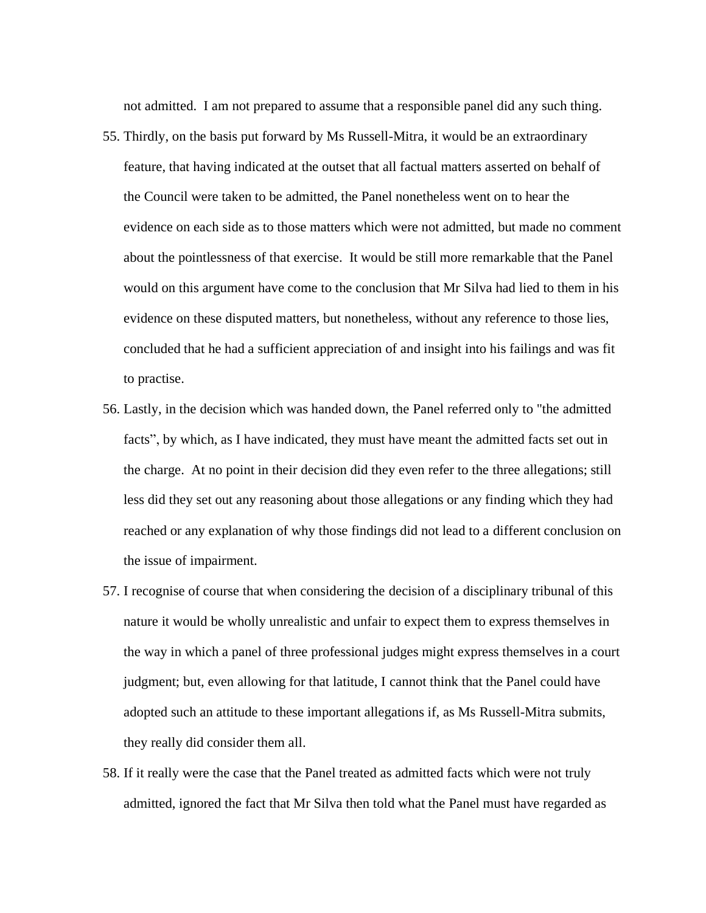not admitted. I am not prepared to assume that a responsible panel did any such thing.

- 55. Thirdly, on the basis put forward by Ms Russell-Mitra, it would be an extraordinary feature, that having indicated at the outset that all factual matters asserted on behalf of the Council were taken to be admitted, the Panel nonetheless went on to hear the evidence on each side as to those matters which were not admitted, but made no comment about the pointlessness of that exercise. It would be still more remarkable that the Panel would on this argument have come to the conclusion that Mr Silva had lied to them in his evidence on these disputed matters, but nonetheless, without any reference to those lies, concluded that he had a sufficient appreciation of and insight into his failings and was fit to practise.
- 56. Lastly, in the decision which was handed down, the Panel referred only to "the admitted facts", by which, as I have indicated, they must have meant the admitted facts set out in the charge. At no point in their decision did they even refer to the three allegations; still less did they set out any reasoning about those allegations or any finding which they had reached or any explanation of why those findings did not lead to a different conclusion on the issue of impairment.
- 57. I recognise of course that when considering the decision of a disciplinary tribunal of this nature it would be wholly unrealistic and unfair to expect them to express themselves in the way in which a panel of three professional judges might express themselves in a court judgment; but, even allowing for that latitude, I cannot think that the Panel could have adopted such an attitude to these important allegations if, as Ms Russell-Mitra submits, they really did consider them all.
- 58. If it really were the case that the Panel treated as admitted facts which were not truly admitted, ignored the fact that Mr Silva then told what the Panel must have regarded as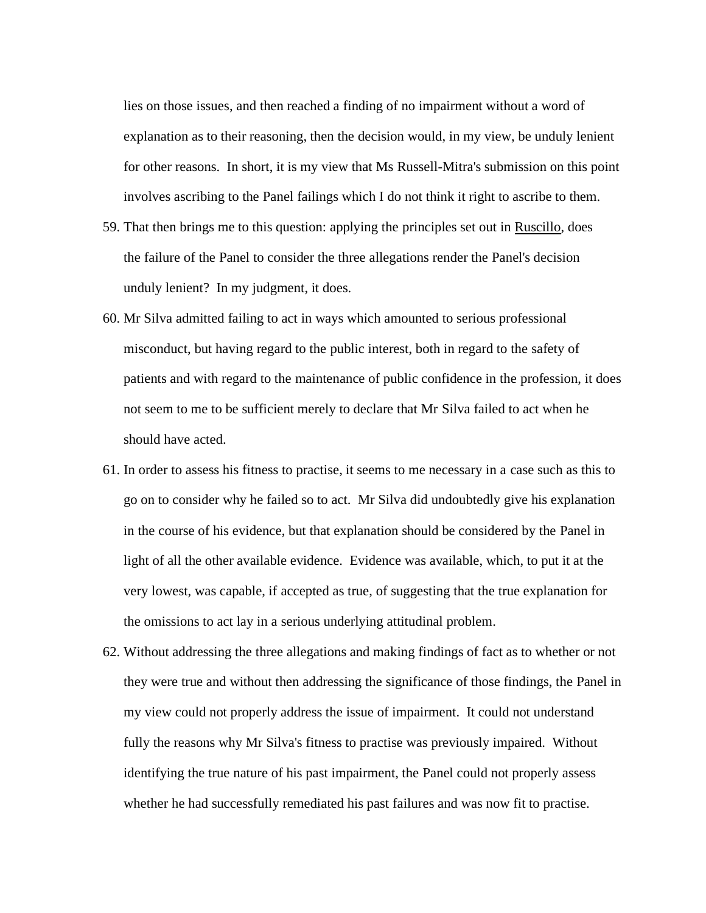lies on those issues, and then reached a finding of no impairment without a word of explanation as to their reasoning, then the decision would, in my view, be unduly lenient for other reasons. In short, it is my view that Ms Russell-Mitra's submission on this point involves ascribing to the Panel failings which I do not think it right to ascribe to them.

- 59. That then brings me to this question: applying the principles set out in Ruscillo, does the failure of the Panel to consider the three allegations render the Panel's decision unduly lenient? In my judgment, it does.
- 60. Mr Silva admitted failing to act in ways which amounted to serious professional misconduct, but having regard to the public interest, both in regard to the safety of patients and with regard to the maintenance of public confidence in the profession, it does not seem to me to be sufficient merely to declare that Mr Silva failed to act when he should have acted.
- 61. In order to assess his fitness to practise, it seems to me necessary in a case such as this to go on to consider why he failed so to act. Mr Silva did undoubtedly give his explanation in the course of his evidence, but that explanation should be considered by the Panel in light of all the other available evidence. Evidence was available, which, to put it at the very lowest, was capable, if accepted as true, of suggesting that the true explanation for the omissions to act lay in a serious underlying attitudinal problem.
- 62. Without addressing the three allegations and making findings of fact as to whether or not they were true and without then addressing the significance of those findings, the Panel in my view could not properly address the issue of impairment. It could not understand fully the reasons why Mr Silva's fitness to practise was previously impaired. Without identifying the true nature of his past impairment, the Panel could not properly assess whether he had successfully remediated his past failures and was now fit to practise.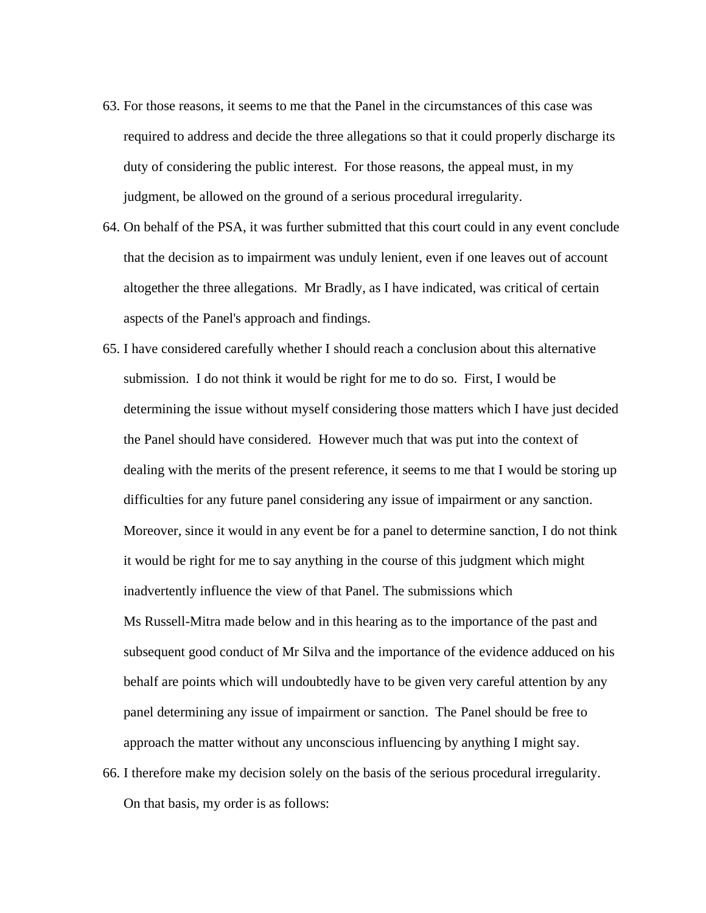- 63. For those reasons, it seems to me that the Panel in the circumstances of this case was required to address and decide the three allegations so that it could properly discharge its duty of considering the public interest. For those reasons, the appeal must, in my judgment, be allowed on the ground of a serious procedural irregularity.
- 64. On behalf of the PSA, it was further submitted that this court could in any event conclude that the decision as to impairment was unduly lenient, even if one leaves out of account altogether the three allegations. Mr Bradly, as I have indicated, was critical of certain aspects of the Panel's approach and findings.
- 65. I have considered carefully whether I should reach a conclusion about this alternative submission. I do not think it would be right for me to do so. First, I would be determining the issue without myself considering those matters which I have just decided the Panel should have considered. However much that was put into the context of dealing with the merits of the present reference, it seems to me that I would be storing up difficulties for any future panel considering any issue of impairment or any sanction. Moreover, since it would in any event be for a panel to determine sanction, I do not think it would be right for me to say anything in the course of this judgment which might inadvertently influence the view of that Panel. The submissions which Ms Russell-Mitra made below and in this hearing as to the importance of the past and subsequent good conduct of Mr Silva and the importance of the evidence adduced on his behalf are points which will undoubtedly have to be given very careful attention by any panel determining any issue of impairment or sanction. The Panel should be free to approach the matter without any unconscious influencing by anything I might say. 66. I therefore make my decision solely on the basis of the serious procedural irregularity.

On that basis, my order is as follows: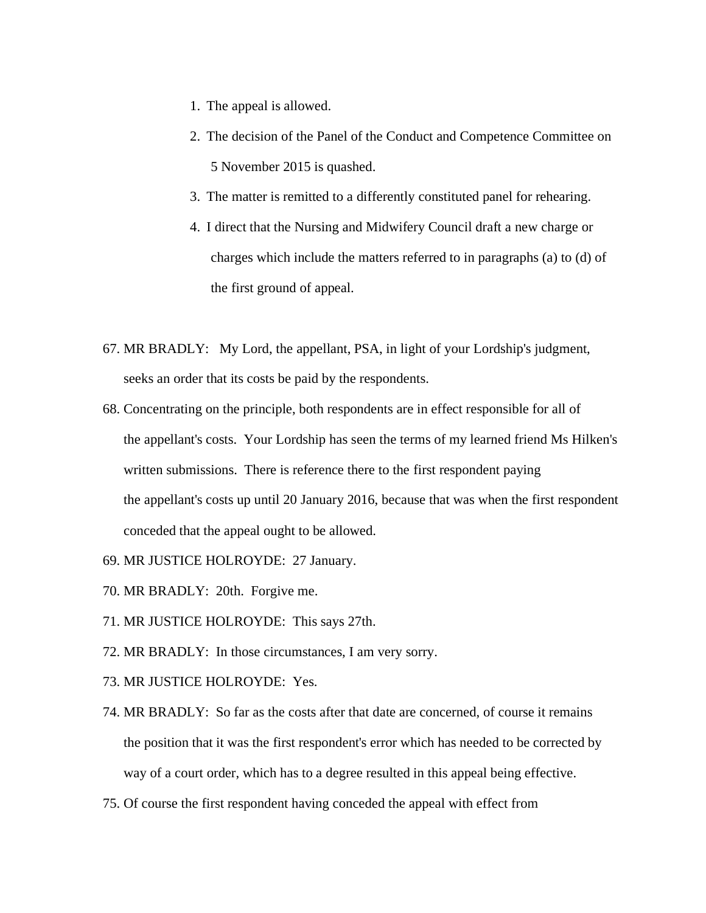- 1. The appeal is allowed.
- 2. The decision of the Panel of the Conduct and Competence Committee on 5 November 2015 is quashed.
- 3. The matter is remitted to a differently constituted panel for rehearing.
- 4. I direct that the Nursing and Midwifery Council draft a new charge or charges which include the matters referred to in paragraphs (a) to (d) of the first ground of appeal.
- 67. MR BRADLY: My Lord, the appellant, PSA, in light of your Lordship's judgment, seeks an order that its costs be paid by the respondents.
- 68. Concentrating on the principle, both respondents are in effect responsible for all of the appellant's costs. Your Lordship has seen the terms of my learned friend Ms Hilken's written submissions. There is reference there to the first respondent paying the appellant's costs up until 20 January 2016, because that was when the first respondent conceded that the appeal ought to be allowed.
- 69. MR JUSTICE HOLROYDE: 27 January.
- 70. MR BRADLY: 20th. Forgive me.
- 71. MR JUSTICE HOLROYDE: This says 27th.
- 72. MR BRADLY: In those circumstances, I am very sorry.
- 73. MR JUSTICE HOLROYDE: Yes.
- 74. MR BRADLY: So far as the costs after that date are concerned, of course it remains the position that it was the first respondent's error which has needed to be corrected by way of a court order, which has to a degree resulted in this appeal being effective.
- 75. Of course the first respondent having conceded the appeal with effect from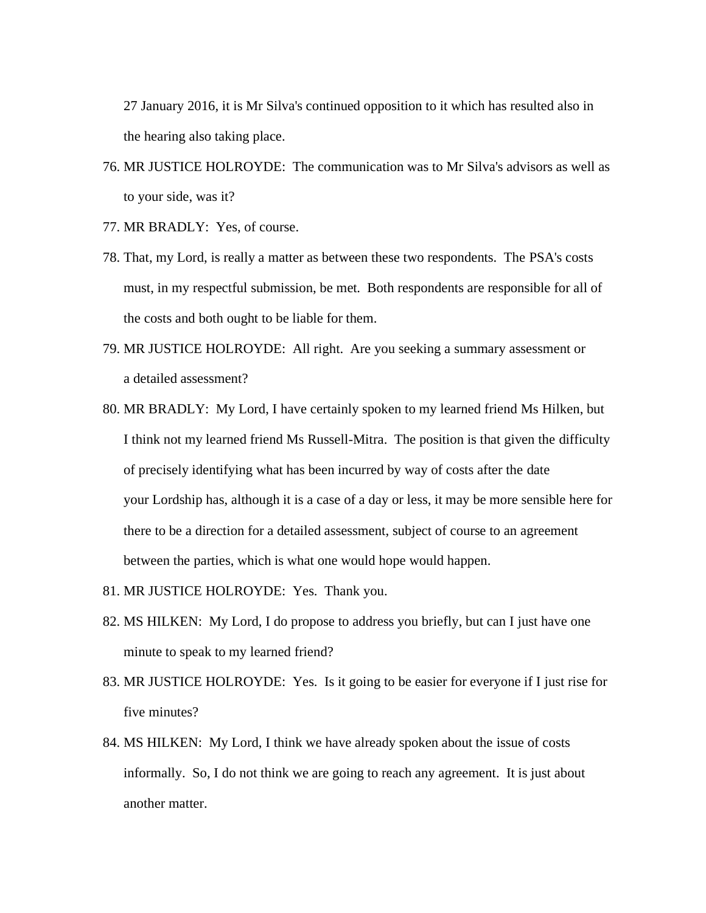27 January 2016, it is Mr Silva's continued opposition to it which has resulted also in the hearing also taking place.

- 76. MR JUSTICE HOLROYDE: The communication was to Mr Silva's advisors as well as to your side, was it?
- 77. MR BRADLY: Yes, of course.
- 78. That, my Lord, is really a matter as between these two respondents. The PSA's costs must, in my respectful submission, be met. Both respondents are responsible for all of the costs and both ought to be liable for them.
- 79. MR JUSTICE HOLROYDE: All right. Are you seeking a summary assessment or a detailed assessment?
- 80. MR BRADLY: My Lord, I have certainly spoken to my learned friend Ms Hilken, but I think not my learned friend Ms Russell-Mitra. The position is that given the difficulty of precisely identifying what has been incurred by way of costs after the date your Lordship has, although it is a case of a day or less, it may be more sensible here for there to be a direction for a detailed assessment, subject of course to an agreement between the parties, which is what one would hope would happen.
- 81. MR JUSTICE HOLROYDE: Yes. Thank you.
- 82. MS HILKEN: My Lord, I do propose to address you briefly, but can I just have one minute to speak to my learned friend?
- 83. MR JUSTICE HOLROYDE: Yes. Is it going to be easier for everyone if I just rise for five minutes?
- 84. MS HILKEN: My Lord, I think we have already spoken about the issue of costs informally. So, I do not think we are going to reach any agreement. It is just about another matter.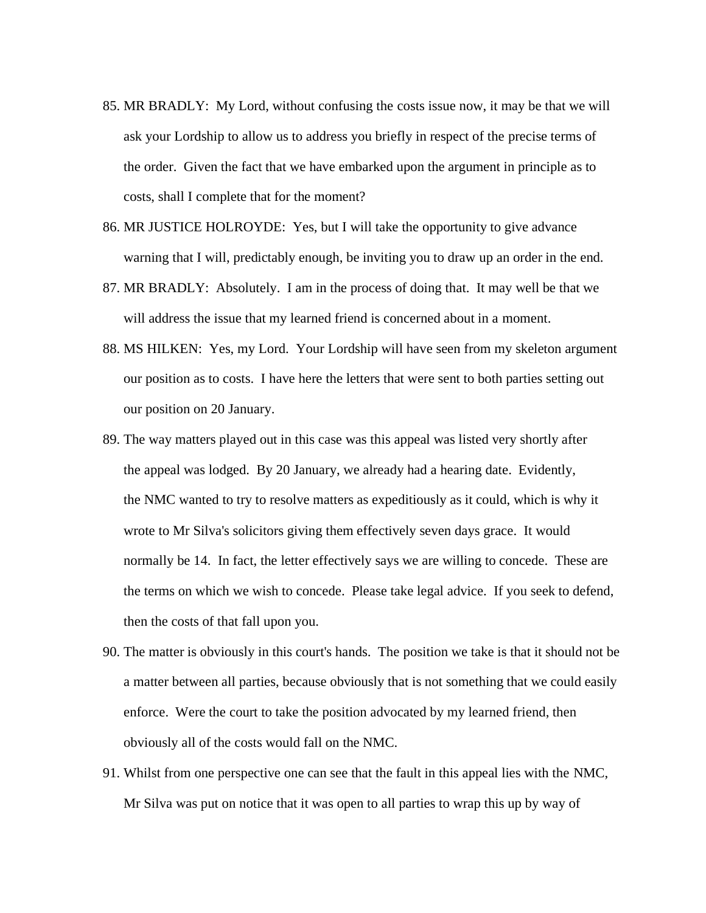- 85. MR BRADLY: My Lord, without confusing the costs issue now, it may be that we will ask your Lordship to allow us to address you briefly in respect of the precise terms of the order. Given the fact that we have embarked upon the argument in principle as to costs, shall I complete that for the moment?
- 86. MR JUSTICE HOLROYDE: Yes, but I will take the opportunity to give advance warning that I will, predictably enough, be inviting you to draw up an order in the end.
- 87. MR BRADLY: Absolutely. I am in the process of doing that. It may well be that we will address the issue that my learned friend is concerned about in a moment.
- 88. MS HILKEN: Yes, my Lord. Your Lordship will have seen from my skeleton argument our position as to costs. I have here the letters that were sent to both parties setting out our position on 20 January.
- 89. The way matters played out in this case was this appeal was listed very shortly after the appeal was lodged. By 20 January, we already had a hearing date. Evidently, the NMC wanted to try to resolve matters as expeditiously as it could, which is why it wrote to Mr Silva's solicitors giving them effectively seven days grace. It would normally be 14. In fact, the letter effectively says we are willing to concede. These are the terms on which we wish to concede. Please take legal advice. If you seek to defend, then the costs of that fall upon you.
- 90. The matter is obviously in this court's hands. The position we take is that it should not be a matter between all parties, because obviously that is not something that we could easily enforce. Were the court to take the position advocated by my learned friend, then obviously all of the costs would fall on the NMC.
- 91. Whilst from one perspective one can see that the fault in this appeal lies with the NMC, Mr Silva was put on notice that it was open to all parties to wrap this up by way of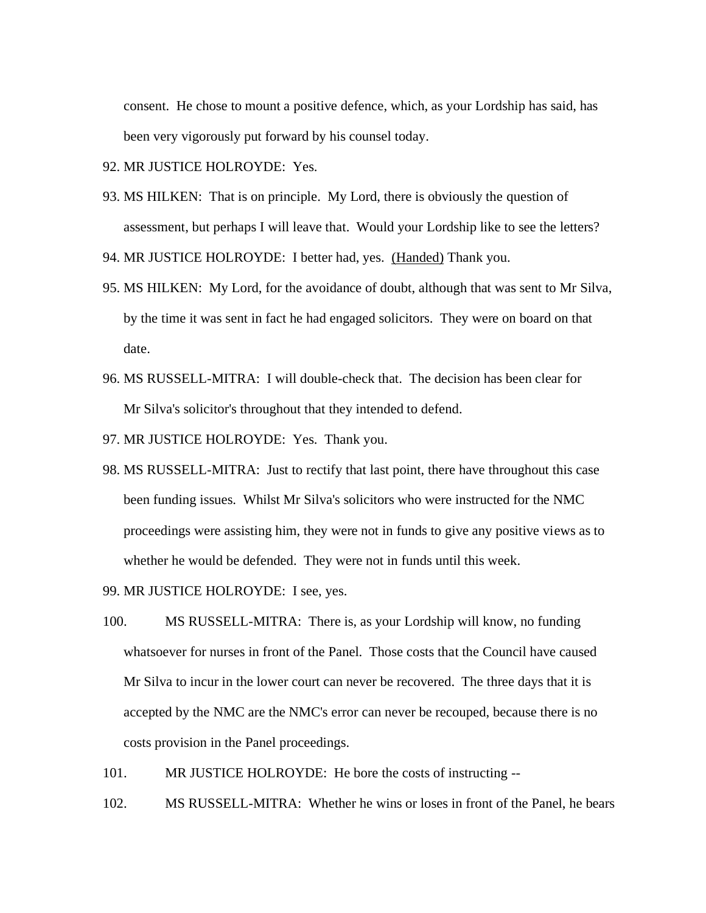consent. He chose to mount a positive defence, which, as your Lordship has said, has been very vigorously put forward by his counsel today.

92. MR JUSTICE HOLROYDE: Yes.

93. MS HILKEN: That is on principle. My Lord, there is obviously the question of assessment, but perhaps I will leave that. Would your Lordship like to see the letters?

94. MR JUSTICE HOLROYDE: I better had, yes. (Handed) Thank you.

- 95. MS HILKEN: My Lord, for the avoidance of doubt, although that was sent to Mr Silva, by the time it was sent in fact he had engaged solicitors. They were on board on that date.
- 96. MS RUSSELL-MITRA: I will double-check that. The decision has been clear for Mr Silva's solicitor's throughout that they intended to defend.
- 97. MR JUSTICE HOLROYDE: Yes. Thank you.
- 98. MS RUSSELL-MITRA: Just to rectify that last point, there have throughout this case been funding issues. Whilst Mr Silva's solicitors who were instructed for the NMC proceedings were assisting him, they were not in funds to give any positive views as to whether he would be defended. They were not in funds until this week.
- 99. MR JUSTICE HOLROYDE: I see, yes.
- 100. MS RUSSELL-MITRA: There is, as your Lordship will know, no funding whatsoever for nurses in front of the Panel. Those costs that the Council have caused Mr Silva to incur in the lower court can never be recovered. The three days that it is accepted by the NMC are the NMC's error can never be recouped, because there is no costs provision in the Panel proceedings.
- 101. MR JUSTICE HOLROYDE: He bore the costs of instructing --
- 102. MS RUSSELL-MITRA: Whether he wins or loses in front of the Panel, he bears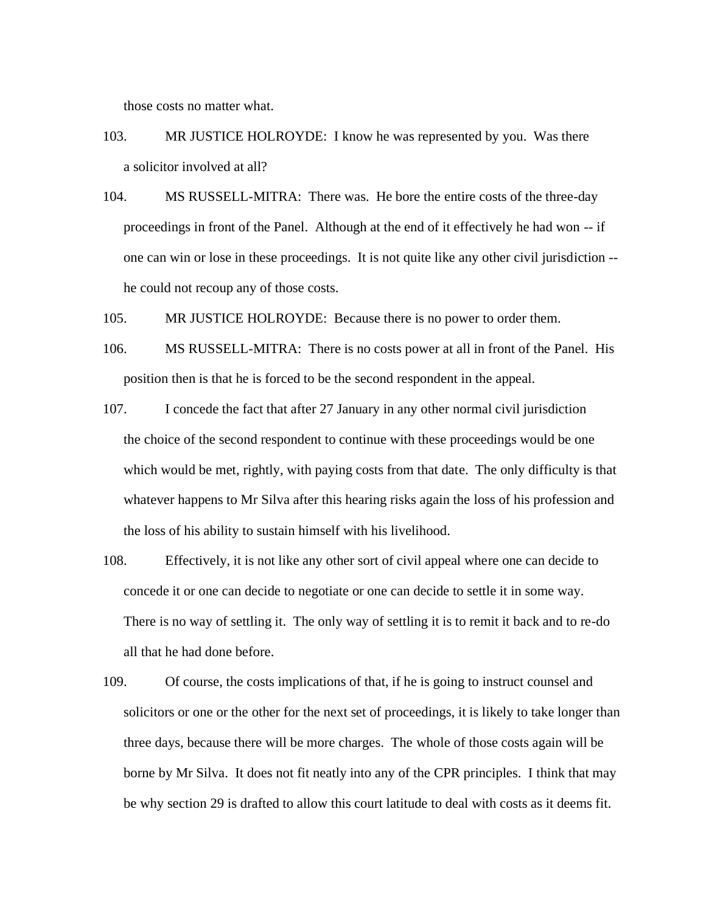those costs no matter what.

- 103. MR JUSTICE HOLROYDE: I know he was represented by you. Was there a solicitor involved at all?
- 104. MS RUSSELL-MITRA: There was. He bore the entire costs of the three-day proceedings in front of the Panel. Although at the end of it effectively he had won -- if one can win or lose in these proceedings. It is not quite like any other civil jurisdiction - he could not recoup any of those costs.
- 105. MR JUSTICE HOLROYDE: Because there is no power to order them.
- 106. MS RUSSELL-MITRA: There is no costs power at all in front of the Panel. His position then is that he is forced to be the second respondent in the appeal.
- 107. I concede the fact that after 27 January in any other normal civil jurisdiction the choice of the second respondent to continue with these proceedings would be one which would be met, rightly, with paying costs from that date. The only difficulty is that whatever happens to Mr Silva after this hearing risks again the loss of his profession and the loss of his ability to sustain himself with his livelihood.
- 108. Effectively, it is not like any other sort of civil appeal where one can decide to concede it or one can decide to negotiate or one can decide to settle it in some way. There is no way of settling it. The only way of settling it is to remit it back and to re-do all that he had done before.
- 109. Of course, the costs implications of that, if he is going to instruct counsel and solicitors or one or the other for the next set of proceedings, it is likely to take longer than three days, because there will be more charges. The whole of those costs again will be borne by Mr Silva. It does not fit neatly into any of the CPR principles. I think that may be why section 29 is drafted to allow this court latitude to deal with costs as it deems fit.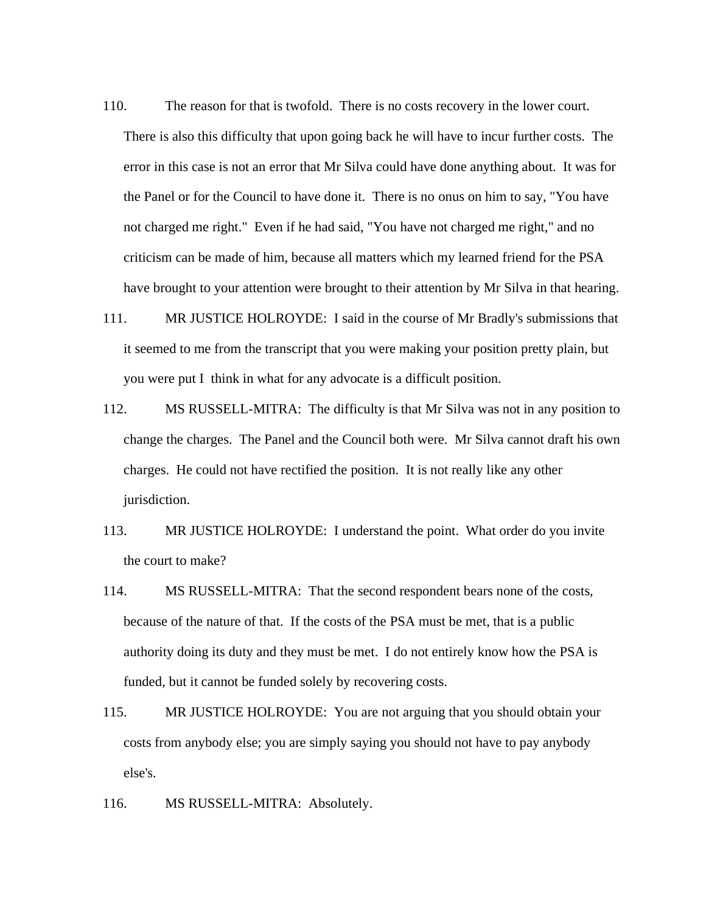- 110. The reason for that is twofold. There is no costs recovery in the lower court. There is also this difficulty that upon going back he will have to incur further costs. The error in this case is not an error that Mr Silva could have done anything about. It was for the Panel or for the Council to have done it. There is no onus on him to say, "You have not charged me right." Even if he had said, "You have not charged me right," and no criticism can be made of him, because all matters which my learned friend for the PSA have brought to your attention were brought to their attention by Mr Silva in that hearing.
- 111. MR JUSTICE HOLROYDE: I said in the course of Mr Bradly's submissions that it seemed to me from the transcript that you were making your position pretty plain, but you were put I think in what for any advocate is a difficult position.
- 112. MS RUSSELL-MITRA: The difficulty is that Mr Silva was not in any position to change the charges. The Panel and the Council both were. Mr Silva cannot draft his own charges. He could not have rectified the position. It is not really like any other jurisdiction.
- 113. MR JUSTICE HOLROYDE: I understand the point. What order do you invite the court to make?
- 114. MS RUSSELL-MITRA: That the second respondent bears none of the costs, because of the nature of that. If the costs of the PSA must be met, that is a public authority doing its duty and they must be met. I do not entirely know how the PSA is funded, but it cannot be funded solely by recovering costs.
- 115. MR JUSTICE HOLROYDE: You are not arguing that you should obtain your costs from anybody else; you are simply saying you should not have to pay anybody else's.
- 116. MS RUSSELL-MITRA: Absolutely.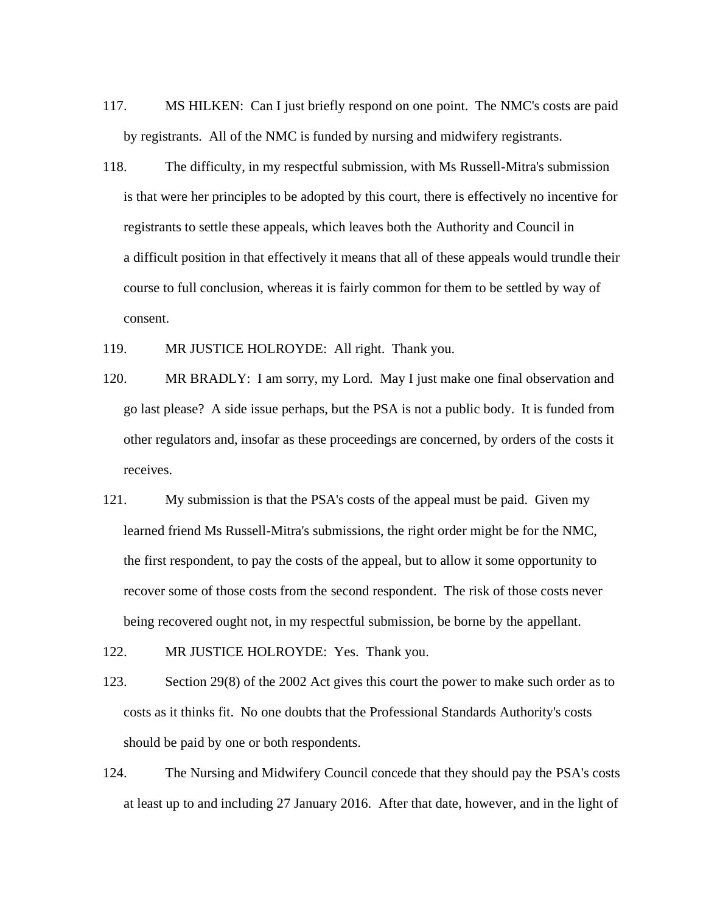- 117. MS HILKEN: Can I just briefly respond on one point. The NMC's costs are paid by registrants. All of the NMC is funded by nursing and midwifery registrants.
- 118. The difficulty, in my respectful submission, with Ms Russell-Mitra's submission is that were her principles to be adopted by this court, there is effectively no incentive for registrants to settle these appeals, which leaves both the Authority and Council in a difficult position in that effectively it means that all of these appeals would trundle their course to full conclusion, whereas it is fairly common for them to be settled by way of consent.

119. MR JUSTICE HOLROYDE: All right. Thank you.

- 120. MR BRADLY: I am sorry, my Lord. May I just make one final observation and go last please? A side issue perhaps, but the PSA is not a public body. It is funded from other regulators and, insofar as these proceedings are concerned, by orders of the costs it receives.
- 121. My submission is that the PSA's costs of the appeal must be paid. Given my learned friend Ms Russell-Mitra's submissions, the right order might be for the NMC, the first respondent, to pay the costs of the appeal, but to allow it some opportunity to recover some of those costs from the second respondent. The risk of those costs never being recovered ought not, in my respectful submission, be borne by the appellant.

122. MR JUSTICE HOLROYDE: Yes. Thank you.

- 123. Section 29(8) of the 2002 Act gives this court the power to make such order as to costs as it thinks fit. No one doubts that the Professional Standards Authority's costs should be paid by one or both respondents.
- 124. The Nursing and Midwifery Council concede that they should pay the PSA's costs at least up to and including 27 January 2016. After that date, however, and in the light of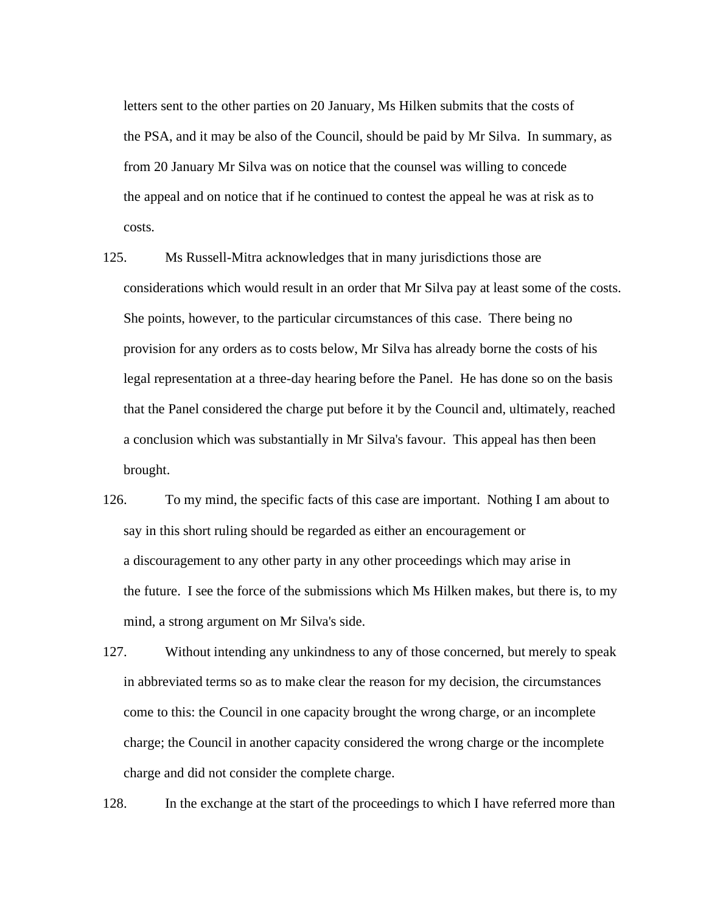letters sent to the other parties on 20 January, Ms Hilken submits that the costs of the PSA, and it may be also of the Council, should be paid by Mr Silva. In summary, as from 20 January Mr Silva was on notice that the counsel was willing to concede the appeal and on notice that if he continued to contest the appeal he was at risk as to costs.

- 125. Ms Russell-Mitra acknowledges that in many jurisdictions those are considerations which would result in an order that Mr Silva pay at least some of the costs. She points, however, to the particular circumstances of this case. There being no provision for any orders as to costs below, Mr Silva has already borne the costs of his legal representation at a three-day hearing before the Panel. He has done so on the basis that the Panel considered the charge put before it by the Council and, ultimately, reached a conclusion which was substantially in Mr Silva's favour. This appeal has then been brought.
- 126. To my mind, the specific facts of this case are important. Nothing I am about to say in this short ruling should be regarded as either an encouragement or a discouragement to any other party in any other proceedings which may arise in the future. I see the force of the submissions which Ms Hilken makes, but there is, to my mind, a strong argument on Mr Silva's side.
- 127. Without intending any unkindness to any of those concerned, but merely to speak in abbreviated terms so as to make clear the reason for my decision, the circumstances come to this: the Council in one capacity brought the wrong charge, or an incomplete charge; the Council in another capacity considered the wrong charge or the incomplete charge and did not consider the complete charge.

128. In the exchange at the start of the proceedings to which I have referred more than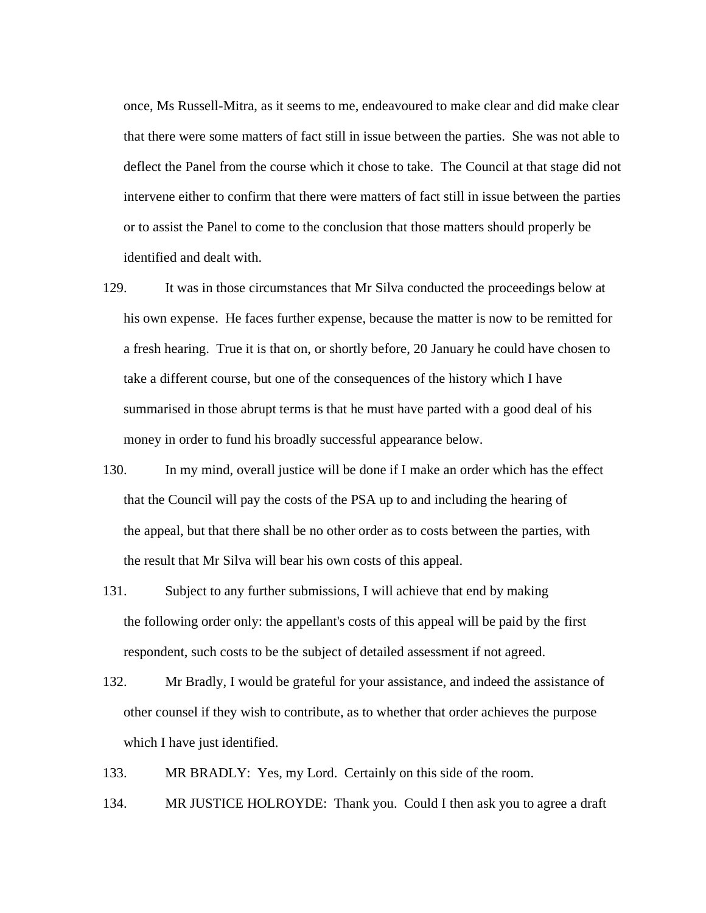once, Ms Russell-Mitra, as it seems to me, endeavoured to make clear and did make clear that there were some matters of fact still in issue between the parties. She was not able to deflect the Panel from the course which it chose to take. The Council at that stage did not intervene either to confirm that there were matters of fact still in issue between the parties or to assist the Panel to come to the conclusion that those matters should properly be identified and dealt with.

- 129. It was in those circumstances that Mr Silva conducted the proceedings below at his own expense. He faces further expense, because the matter is now to be remitted for a fresh hearing. True it is that on, or shortly before, 20 January he could have chosen to take a different course, but one of the consequences of the history which I have summarised in those abrupt terms is that he must have parted with a good deal of his money in order to fund his broadly successful appearance below.
- 130. In my mind, overall justice will be done if I make an order which has the effect that the Council will pay the costs of the PSA up to and including the hearing of the appeal, but that there shall be no other order as to costs between the parties, with the result that Mr Silva will bear his own costs of this appeal.
- 131. Subject to any further submissions, I will achieve that end by making the following order only: the appellant's costs of this appeal will be paid by the first respondent, such costs to be the subject of detailed assessment if not agreed.
- 132. Mr Bradly, I would be grateful for your assistance, and indeed the assistance of other counsel if they wish to contribute, as to whether that order achieves the purpose which I have just identified.
- 133. MR BRADLY: Yes, my Lord. Certainly on this side of the room.
- 134. MR JUSTICE HOLROYDE: Thank you. Could I then ask you to agree a draft